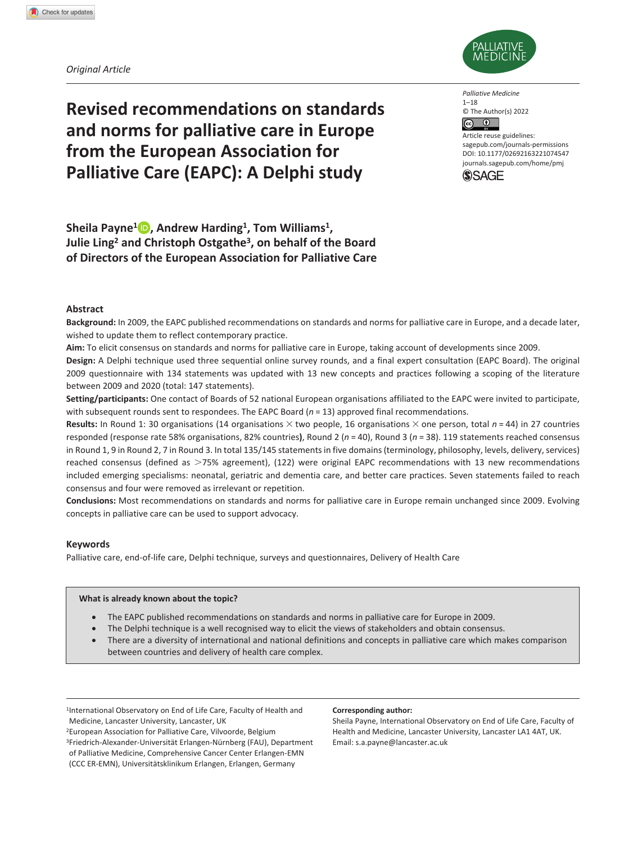*Original Article*



**Revised recommendations on standards and norms for palliative care in Europe from the European Association for Palliative Care (EAPC): A Delphi study**

*Palliative Medicine* 1–18 © The Author(s) 2022  $\odot$ 

DOI: 10.1177/02692163221074547 Article reuse guidelines: [sagepub.com/journals-permissions](https://uk.sagepub.com/en-gb/journals-permissions) [journals.sagepub.com/home/pmj](http://journals.sagepub.com/home/pmj)



**Sheila Payne1 , Andrew Harding1, Tom Williams1, Julie Ling2 and Christoph Ostgathe3, on behalf of the Board of Directors of the European Association for Palliative Care**

### **Abstract**

**Background:** In 2009, the EAPC published recommendations on standards and norms for palliative care in Europe, and a decade later, wished to update them to reflect contemporary practice.

**Aim:** To elicit consensus on standards and norms for palliative care in Europe, taking account of developments since 2009.

**Design:** A Delphi technique used three sequential online survey rounds, and a final expert consultation (EAPC Board). The original 2009 questionnaire with 134 statements was updated with 13 new concepts and practices following a scoping of the literature between 2009 and 2020 (total: 147 statements).

**Setting/participants:** One contact of Boards of 52 national European organisations affiliated to the EAPC were invited to participate, with subsequent rounds sent to respondees. The EAPC Board (*n* = 13) approved final recommendations.

**Results:** In Round 1: 30 organisations (14 organisations × two people, 16 organisations × one person, total *n* = 44) in 27 countries responded (response rate 58% organisations, 82% countries**)**, Round 2 (*n* = 40), Round 3 (*n* = 38). 119 statements reached consensus in Round 1, 9 in Round 2, 7 in Round 3. In total 135/145 statements in five domains (terminology, philosophy, levels, delivery, services) reached consensus (defined as >75% agreement), (122) were original EAPC recommendations with 13 new recommendations included emerging specialisms: neonatal, geriatric and dementia care, and better care practices. Seven statements failed to reach consensus and four were removed as irrelevant or repetition.

**Conclusions:** Most recommendations on standards and norms for palliative care in Europe remain unchanged since 2009. Evolving concepts in palliative care can be used to support advocacy.

### **Keywords**

Palliative care, end-of-life care, Delphi technique, surveys and questionnaires, Delivery of Health Care

### **What is already known about the topic?**

- The EAPC published recommendations on standards and norms in palliative care for Europe in 2009.
- The Delphi technique is a well recognised way to elicit the views of stakeholders and obtain consensus.
- There are a diversity of international and national definitions and concepts in palliative care which makes comparison between countries and delivery of health care complex.

<sup>1</sup>International Observatory on End of Life Care, Faculty of Health and Medicine, Lancaster University, Lancaster, UK

2European Association for Palliative Care, Vilvoorde, Belgium 3Friedrich-Alexander-Universität Erlangen-Nürnberg (FAU), Department of Palliative Medicine, Comprehensive Cancer Center Erlangen-EMN (CCC ER-EMN), Universitätsklinikum Erlangen, Erlangen, Germany

#### **Corresponding author:**

Sheila Payne, International Observatory on End of Life Care, Faculty of Health and Medicine, Lancaster University, Lancaster LA1 4AT, UK. Email: [s.a.payne@lancaster.ac.uk](mailto:s.a.payne@lancaster.ac.uk)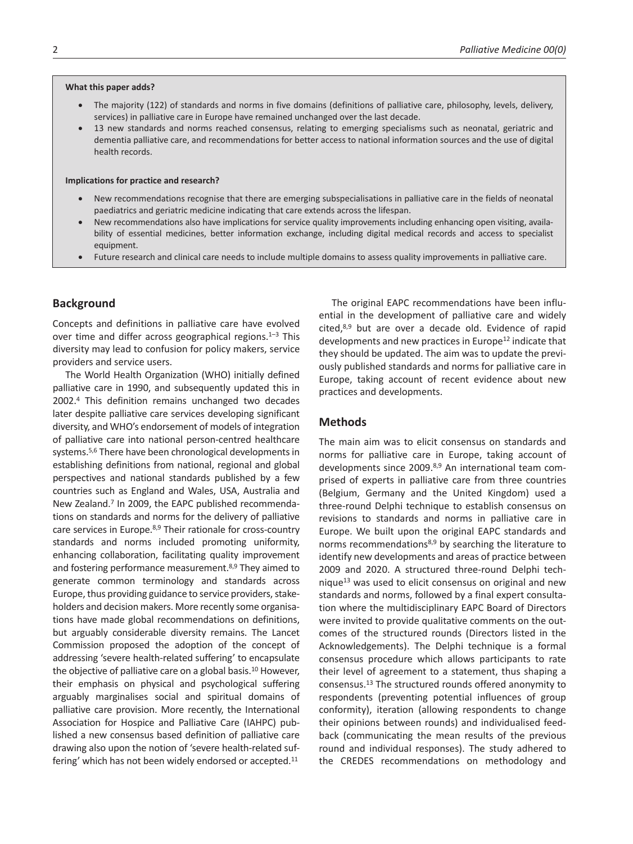#### **What this paper adds?**

- The majority (122) of standards and norms in five domains (definitions of palliative care, philosophy, levels, delivery, services) in palliative care in Europe have remained unchanged over the last decade.
- 13 new standards and norms reached consensus, relating to emerging specialisms such as neonatal, geriatric and dementia palliative care, and recommendations for better access to national information sources and the use of digital health records.

### **Implications for practice and research?**

- New recommendations recognise that there are emerging subspecialisations in palliative care in the fields of neonatal paediatrics and geriatric medicine indicating that care extends across the lifespan.
- New recommendations also have implications for service quality improvements including enhancing open visiting, availability of essential medicines, better information exchange, including digital medical records and access to specialist equipment.
- Future research and clinical care needs to include multiple domains to assess quality improvements in palliative care.

# **Background**

Concepts and definitions in palliative care have evolved over time and differ across geographical regions. $1-3$  This diversity may lead to confusion for policy makers, service providers and service users.

The World Health Organization (WHO) initially defined palliative care in 1990, and subsequently updated this in 2002.4 This definition remains unchanged two decades later despite palliative care services developing significant diversity, and WHO's endorsement of models of integration of palliative care into national person-centred healthcare systems.5,6 There have been chronological developments in establishing definitions from national, regional and global perspectives and national standards published by a few countries such as England and Wales, USA, Australia and New Zealand.7 In 2009, the EAPC published recommendations on standards and norms for the delivery of palliative care services in Europe.<sup>8,9</sup> Their rationale for cross-country standards and norms included promoting uniformity, enhancing collaboration, facilitating quality improvement and fostering performance measurement.8,9 They aimed to generate common terminology and standards across Europe, thus providing guidance to service providers, stakeholders and decision makers. More recently some organisations have made global recommendations on definitions, but arguably considerable diversity remains. The Lancet Commission proposed the adoption of the concept of addressing 'severe health-related suffering' to encapsulate the objective of palliative care on a global basis.<sup>10</sup> However, their emphasis on physical and psychological suffering arguably marginalises social and spiritual domains of palliative care provision. More recently, the International Association for Hospice and Palliative Care (IAHPC) published a new consensus based definition of palliative care drawing also upon the notion of 'severe health-related suffering' which has not been widely endorsed or accepted.<sup>11</sup>

The original EAPC recommendations have been influential in the development of palliative care and widely cited,8,9 but are over a decade old. Evidence of rapid developments and new practices in Europe<sup>12</sup> indicate that they should be updated. The aim was to update the previously published standards and norms for palliative care in Europe, taking account of recent evidence about new practices and developments.

## **Methods**

The main aim was to elicit consensus on standards and norms for palliative care in Europe, taking account of developments since 2009.8,9 An international team comprised of experts in palliative care from three countries (Belgium, Germany and the United Kingdom) used a three-round Delphi technique to establish consensus on revisions to standards and norms in palliative care in Europe. We built upon the original EAPC standards and norms recommendations8,9 by searching the literature to identify new developments and areas of practice between 2009 and 2020. A structured three-round Delphi technique13 was used to elicit consensus on original and new standards and norms, followed by a final expert consultation where the multidisciplinary EAPC Board of Directors were invited to provide qualitative comments on the outcomes of the structured rounds (Directors listed in the Acknowledgements). The Delphi technique is a formal consensus procedure which allows participants to rate their level of agreement to a statement, thus shaping a consensus.13 The structured rounds offered anonymity to respondents (preventing potential influences of group conformity), iteration (allowing respondents to change their opinions between rounds) and individualised feedback (communicating the mean results of the previous round and individual responses). The study adhered to the CREDES recommendations on methodology and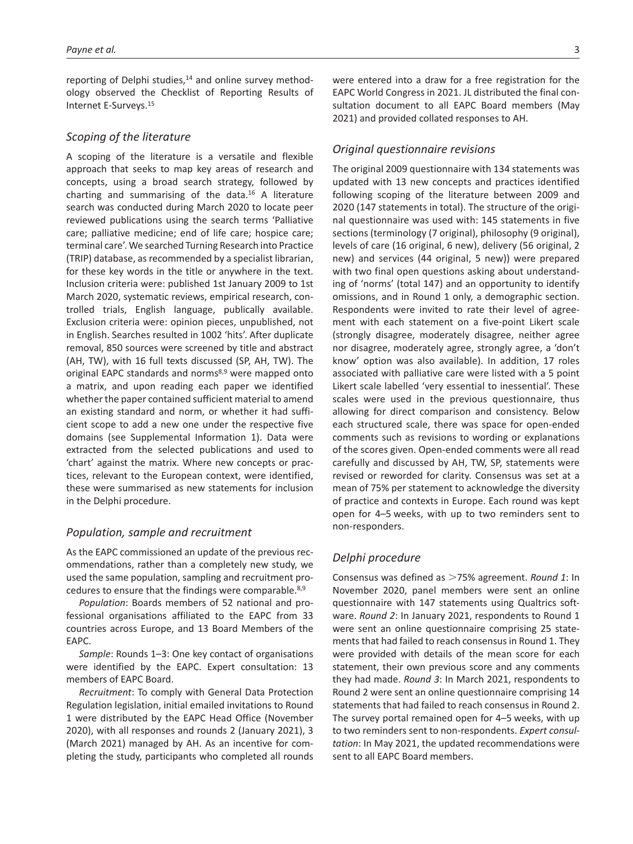reporting of Delphi studies,<sup>14</sup> and online survey methodology observed the Checklist of Reporting Results of Internet E-Surveys.15

# *Scoping of the literature*

A scoping of the literature is a versatile and flexible approach that seeks to map key areas of research and concepts, using a broad search strategy, followed by charting and summarising of the data.16 A literature search was conducted during March 2020 to locate peer reviewed publications using the search terms 'Palliative care; palliative medicine; end of life care; hospice care; terminal care'. We searched Turning Research into Practice (TRIP) database, as recommended by a specialist librarian, for these key words in the title or anywhere in the text. Inclusion criteria were: published 1st January 2009 to 1st March 2020, systematic reviews, empirical research, controlled trials, English language, publically available. Exclusion criteria were: opinion pieces, unpublished, not in English. Searches resulted in 1002 'hits'. After duplicate removal, 850 sources were screened by title and abstract (AH, TW), with 16 full texts discussed (SP, AH, TW). The original EAPC standards and norms<sup>8,9</sup> were mapped onto a matrix, and upon reading each paper we identified whether the paper contained sufficient material to amend an existing standard and norm, or whether it had sufficient scope to add a new one under the respective five domains (see Supplemental Information 1). Data were extracted from the selected publications and used to 'chart' against the matrix. Where new concepts or practices, relevant to the European context, were identified, these were summarised as new statements for inclusion in the Delphi procedure.

# *Population, sample and recruitment*

As the EAPC commissioned an update of the previous recommendations, rather than a completely new study, we used the same population, sampling and recruitment procedures to ensure that the findings were comparable.8,9

*Population*: Boards members of 52 national and professional organisations affiliated to the EAPC from 33 countries across Europe, and 13 Board Members of the EAPC.

*Sample*: Rounds 1–3: One key contact of organisations were identified by the EAPC. Expert consultation: 13 members of EAPC Board.

*Recruitment*: To comply with General Data Protection Regulation legislation, initial emailed invitations to Round 1 were distributed by the EAPC Head Office (November 2020), with all responses and rounds 2 (January 2021), 3 (March 2021) managed by AH. As an incentive for completing the study, participants who completed all rounds were entered into a draw for a free registration for the EAPC World Congress in 2021. JL distributed the final consultation document to all EAPC Board members (May 2021) and provided collated responses to AH.

## *Original questionnaire revisions*

The original 2009 questionnaire with 134 statements was updated with 13 new concepts and practices identified following scoping of the literature between 2009 and 2020 (147 statements in total). The structure of the original questionnaire was used with: 145 statements in five sections (terminology (7 original), philosophy (9 original), levels of care (16 original, 6 new), delivery (56 original, 2 new) and services (44 original, 5 new)) were prepared with two final open questions asking about understanding of 'norms' (total 147) and an opportunity to identify omissions, and in Round 1 only, a demographic section. Respondents were invited to rate their level of agreement with each statement on a five-point Likert scale (strongly disagree, moderately disagree, neither agree nor disagree, moderately agree, strongly agree, a 'don't know' option was also available). In addition, 17 roles associated with palliative care were listed with a 5 point Likert scale labelled 'very essential to inessential'. These scales were used in the previous questionnaire, thus allowing for direct comparison and consistency. Below each structured scale, there was space for open-ended comments such as revisions to wording or explanations of the scores given. Open-ended comments were all read carefully and discussed by AH, TW, SP, statements were revised or reworded for clarity. Consensus was set at a mean of 75% per statement to acknowledge the diversity of practice and contexts in Europe. Each round was kept open for 4–5 weeks, with up to two reminders sent to non-responders.

## *Delphi procedure*

Consensus was defined as >75% agreement. *Round 1*: In November 2020, panel members were sent an online questionnaire with 147 statements using Qualtrics software. *Round 2*: In January 2021, respondents to Round 1 were sent an online questionnaire comprising 25 statements that had failed to reach consensus in Round 1. They were provided with details of the mean score for each statement, their own previous score and any comments they had made. *Round 3*: In March 2021, respondents to Round 2 were sent an online questionnaire comprising 14 statements that had failed to reach consensus in Round 2. The survey portal remained open for 4–5 weeks, with up to two reminders sent to non-respondents. *Expert consultation*: In May 2021, the updated recommendations were sent to all EAPC Board members.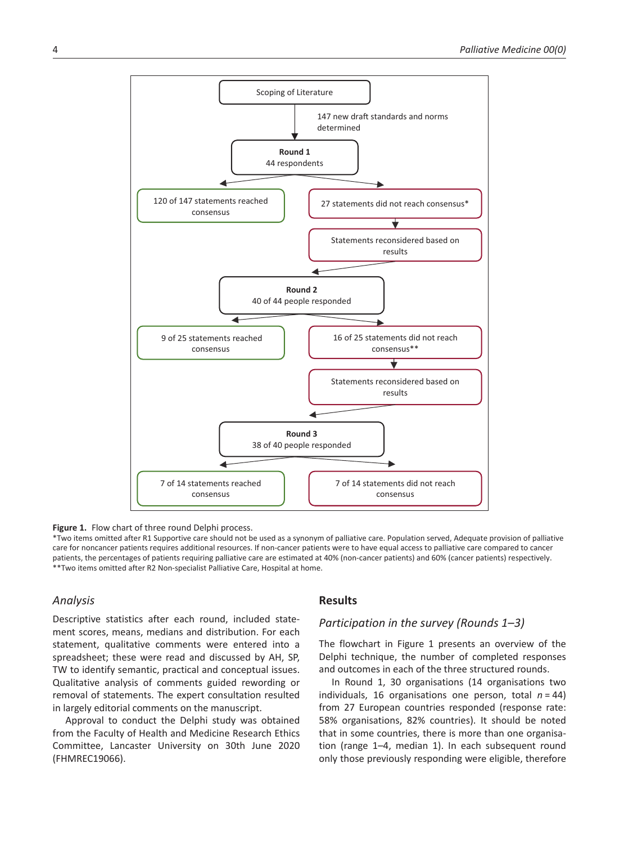

Figure 1. Flow chart of three round Delphi process.

\*Two items omitted after R1 Supportive care should not be used as a synonym of palliative care. Population served, Adequate provision of palliative care for noncancer patients requires additional resources. If non-cancer patients were to have equal access to palliative care compared to cancer patients, the percentages of patients requiring palliative care are estimated at 40% (non-cancer patients) and 60% (cancer patients) respectively. \*\*Two items omitted after R2 Non-specialist Palliative Care, Hospital at home.

## *Analysis*

Descriptive statistics after each round, included statement scores, means, medians and distribution. For each statement, qualitative comments were entered into a spreadsheet; these were read and discussed by AH, SP, TW to identify semantic, practical and conceptual issues. Qualitative analysis of comments guided rewording or removal of statements. The expert consultation resulted in largely editorial comments on the manuscript.

Approval to conduct the Delphi study was obtained from the Faculty of Health and Medicine Research Ethics Committee, Lancaster University on 30th June 2020 (FHMREC19066).

## **Results**

## *Participation in the survey (Rounds 1–3)*

The flowchart in Figure 1 presents an overview of the Delphi technique, the number of completed responses and outcomes in each of the three structured rounds.

In Round 1, 30 organisations (14 organisations two individuals, 16 organisations one person, total *n* = 44) from 27 European countries responded (response rate: 58% organisations, 82% countries). It should be noted that in some countries, there is more than one organisation (range 1–4, median 1). In each subsequent round only those previously responding were eligible, therefore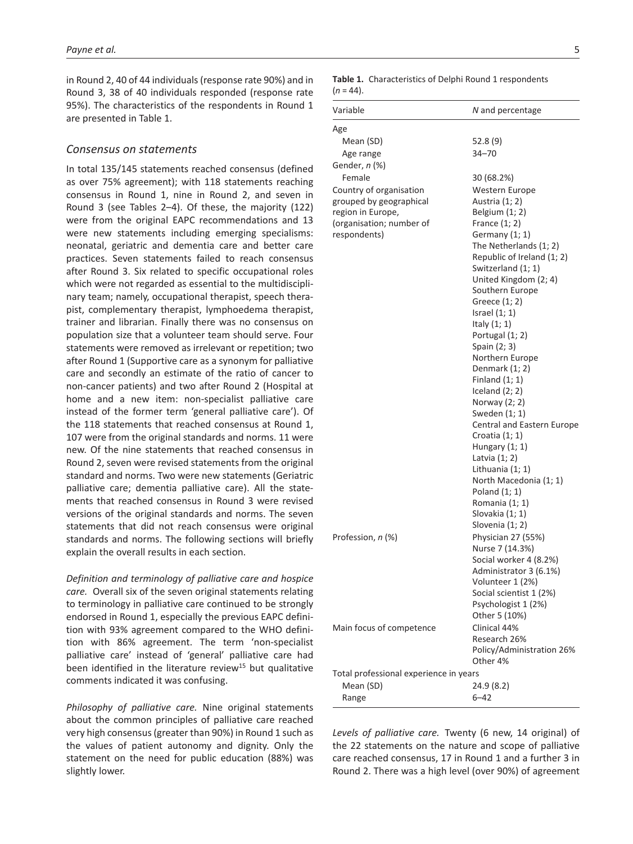in Round 2, 40 of 44 individuals (response rate 90%) and in Round 3, 38 of 40 individuals responded (response rate 95%). The characteristics of the respondents in Round 1 are presented in Table 1.

## *Consensus on statements*

In total 135/145 statements reached consensus (defined as over 75% agreement); with 118 statements reaching consensus in Round 1, nine in Round 2, and seven in Round 3 (see Tables 2–4). Of these, the majority (122) were from the original EAPC recommendations and 13 were new statements including emerging specialisms: neonatal, geriatric and dementia care and better care practices. Seven statements failed to reach consensus after Round 3. Six related to specific occupational roles which were not regarded as essential to the multidisciplinary team; namely, occupational therapist, speech therapist, complementary therapist, lymphoedema therapist, trainer and librarian. Finally there was no consensus on population size that a volunteer team should serve. Four statements were removed as irrelevant or repetition; two after Round 1 (Supportive care as a synonym for palliative care and secondly an estimate of the ratio of cancer to non-cancer patients) and two after Round 2 (Hospital at home and a new item: non-specialist palliative care instead of the former term 'general palliative care'). Of the 118 statements that reached consensus at Round 1, 107 were from the original standards and norms. 11 were new. Of the nine statements that reached consensus in Round 2, seven were revised statements from the original standard and norms. Two were new statements (Geriatric palliative care; dementia palliative care). All the statements that reached consensus in Round 3 were revised versions of the original standards and norms. The seven statements that did not reach consensus were original standards and norms. The following sections will briefly explain the overall results in each section.

*Definition and terminology of palliative care and hospice care.* Overall six of the seven original statements relating to terminology in palliative care continued to be strongly endorsed in Round 1, especially the previous EAPC definition with 93% agreement compared to the WHO definition with 86% agreement. The term 'non-specialist palliative care' instead of 'general' palliative care had been identified in the literature review<sup>15</sup> but qualitative comments indicated it was confusing.

*Philosophy of palliative care.* Nine original statements about the common principles of palliative care reached very high consensus (greater than 90%) in Round 1 such as the values of patient autonomy and dignity. Only the statement on the need for public education (88%) was slightly lower.

Table 1. Characteristics of Delphi Round 1 respondents (*n* = 44).

| Variable                               | N and percentage                  |
|----------------------------------------|-----------------------------------|
| Age                                    |                                   |
| Mean (SD)                              | 52.8 (9)                          |
| Age range                              | $34 - 70$                         |
| Gender, <i>n</i> (%)                   |                                   |
| Female                                 | 30 (68.2%)                        |
| Country of organisation                | Western Europe                    |
| grouped by geographical                | Austria (1; 2)                    |
| region in Europe,                      | Belgium $(1; 2)$                  |
| (organisation; number of               | France $(1; 2)$                   |
| respondents)                           | Germany $(1; 1)$                  |
|                                        | The Netherlands (1; 2)            |
|                                        | Republic of Ireland (1; 2)        |
|                                        | Switzerland (1; 1)                |
|                                        | United Kingdom (2; 4)             |
|                                        | Southern Europe                   |
|                                        | Greece (1; 2)                     |
|                                        | Israel $(1; 1)$<br>Italy $(1; 1)$ |
|                                        | Portugal (1; 2)                   |
|                                        | Spain (2; 3)                      |
|                                        | Northern Europe                   |
|                                        | Denmark (1; 2)                    |
|                                        | Finland $(1; 1)$                  |
|                                        | Iceland $(2; 2)$                  |
|                                        | Norway (2; 2)                     |
|                                        | Sweden (1; 1)                     |
|                                        | Central and Eastern Europe        |
|                                        | Croatia $(1; 1)$                  |
|                                        | Hungary $(1; 1)$                  |
|                                        | Latvia $(1; 2)$                   |
|                                        | Lithuania (1; 1)                  |
|                                        | North Macedonia (1; 1)            |
|                                        | Poland $(1; 1)$<br>Romania (1; 1) |
|                                        | Slovakia (1; 1)                   |
|                                        | Slovenia (1; 2)                   |
| Profession, n (%)                      | Physician 27 (55%)                |
|                                        | Nurse 7 (14.3%)                   |
|                                        | Social worker 4 (8.2%)            |
|                                        | Administrator 3 (6.1%)            |
|                                        | Volunteer 1 (2%)                  |
|                                        | Social scientist 1 (2%)           |
|                                        | Psychologist 1 (2%)               |
|                                        | Other 5 (10%)                     |
| Main focus of competence               | Clinical 44%                      |
|                                        | Research 26%                      |
|                                        | Policy/Administration 26%         |
|                                        | Other 4%                          |
| Total professional experience in years |                                   |
| Mean (SD)                              | 24.9 (8.2)                        |
| Range                                  | 6–42                              |

*Levels of palliative care.* Twenty (6 new, 14 original) of the 22 statements on the nature and scope of palliative care reached consensus, 17 in Round 1 and a further 3 in Round 2. There was a high level (over 90%) of agreement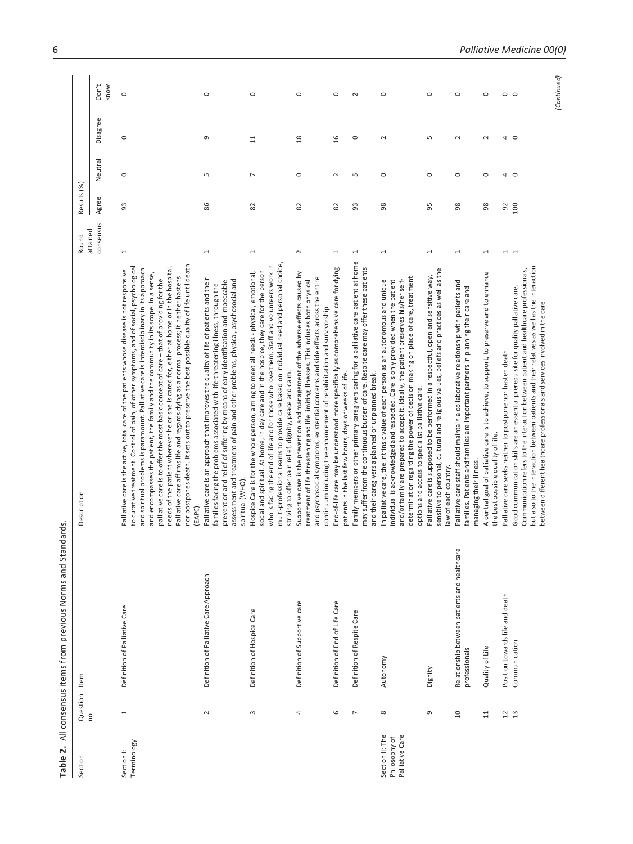| $\frac{1}{2}$              |
|----------------------------|
|                            |
| Ξ                          |
|                            |
|                            |
|                            |
|                            |
|                            |
|                            |
|                            |
|                            |
| 5<br>2<br>2<br>2<br>2<br>2 |
|                            |
|                            |
|                            |
|                            |
|                            |
| ١                          |
|                            |
|                            |
|                            |
|                            |
|                            |
|                            |
|                            |
|                            |
|                            |
|                            |
|                            |
|                            |
|                            |
|                            |
|                            |
|                            |
|                            |
|                            |
|                            |
| <br> }<br> }               |
|                            |

| Section                                             | Question Item                         | Table 2. All consensus items from previous Norms and Standards.             | Description                                                                                                                                                                                                                                                                                                                                                                                                                                                                                                                                                                                                                                                                                                                                                      | Round                    | Results (%) |                |                |               |
|-----------------------------------------------------|---------------------------------------|-----------------------------------------------------------------------------|------------------------------------------------------------------------------------------------------------------------------------------------------------------------------------------------------------------------------------------------------------------------------------------------------------------------------------------------------------------------------------------------------------------------------------------------------------------------------------------------------------------------------------------------------------------------------------------------------------------------------------------------------------------------------------------------------------------------------------------------------------------|--------------------------|-------------|----------------|----------------|---------------|
|                                                     | <b>PO</b>                             |                                                                             |                                                                                                                                                                                                                                                                                                                                                                                                                                                                                                                                                                                                                                                                                                                                                                  | consensus<br>attained    | Agree       | Neutral        | Disagree       | Don't<br>know |
| <b>Terminology</b><br>Section I:                    | $\overline{ }$                        | Definition of Palliative Care                                               | nor postpones death. It sets out to preserve the best possible quality of life until death<br>to curative treatment. Control of pain, of other symptoms, and of social, psychological<br>needs of the patient wherever he or she is cared for, either at home or in the hospital.<br>and spiritual problems is paramount. Palliative care is interdisciplinary in its approach<br>Palliative care is the active, total care of the patients whose disease is not responsive<br>and encompasses the patient, the family and the community in its scope. In a sense,<br>Palliative care affirms life and regards dying as a normal process; it neither hastens<br>palliative care is to offer the most basic concept of care - that of providing for the<br>(EAPC) | $\overline{ }$           | 3           | $\circ$        | $\circ$        | $\circ$       |
|                                                     | $\sim$                                | Definition of Palliative Care Approach                                      | Palliative care is an approach that improves the quality of life of patients and their<br>assessment and treatment of pain and other problems, physical, psychosocial and<br>prevention and relief of suffering by means of early identification and impeccable<br>families facing the problems associated with life-threatening illness, through the<br>spiritual (WHO)                                                                                                                                                                                                                                                                                                                                                                                         | $\overline{ }$           | 86          | S              | G              | $\circ$       |
|                                                     | $\sim$                                | Definition of Hospice Care                                                  | multi-professional teams to provide care based on individual need and personal choice,<br>who is facing the end of life and for those who love them. Staff and volunteers work in<br>social and spiritual. At home, in day care and in the hospice, they care for the person<br>Hospice Care is for the whole person, aiming to meet all needs - physical, emotional,<br>striving to offer pain relief, dignity, peace and calm.                                                                                                                                                                                                                                                                                                                                 | $\overline{ }$           | 8           | $\overline{ }$ | $\overline{1}$ | $\circ$       |
|                                                     | 4                                     | Definition of Supportive care                                               | Supportive care is the prevention and management of the adverse effects caused by<br>and psychosocial symptoms, existential concerns and side effects across the entire<br>treatment of life threatening and life limiting illnesses. This includes both physical<br>continuum including the enhancement of rehabilitation and survivorship.                                                                                                                                                                                                                                                                                                                                                                                                                     | $\sim$                   | 82          | $\circ$        | $\frac{8}{2}$  | $\circ$       |
|                                                     | 6                                     | Definition of End of Life Care                                              | End-of-life care may be understood more specifically as comprehensive care for dying<br>patients in the last few hours, days or weeks of life.                                                                                                                                                                                                                                                                                                                                                                                                                                                                                                                                                                                                                   | $\overline{\phantom{0}}$ | 82          | $\sim$         | $\frac{1}{2}$  | $\circ$       |
|                                                     | $\overline{\phantom{a}}$              | Definition of Respite Care                                                  | Family members or other primary caregivers caring for a palliative care patient at home<br>may suffer from the continuous burden of care. Respite care may offer these patients<br>and their caregivers a planned or unplanned break.                                                                                                                                                                                                                                                                                                                                                                                                                                                                                                                            | $\overline{ }$           | 93          | S              | $\circ$        | $\sim$        |
| Palliative Care<br>Section II: The<br>Philosophy of | $\infty$                              | Autonomy                                                                    | determination regarding the power of decision making on place of care, treatment<br>In palliative care, the intrinsic value of each person as an autonomous and unique<br>individual is acknowledged and respected. Care is only provided when the patient<br>and/or family are prepared to accept it. Ideally, the patient preserves his/her self-<br>options and access to specialist palliative care.                                                                                                                                                                                                                                                                                                                                                         | $\overline{ }$           | 98          | $\circ$        | $\sim$         | $\circ$       |
|                                                     | G                                     | Dignity                                                                     | sensitive to personal, cultural and religious values, beliefs and practices as well as the<br>Palliative care is supposed to be performed in a respectful, open and sensitive way,<br>law of each country.                                                                                                                                                                                                                                                                                                                                                                                                                                                                                                                                                       | 1                        | 95          | $\circ$        | S              | $\circ$       |
|                                                     | $\overline{a}$                        | $\mathbb Q$<br>Relationship between patients and healthcar<br>professionals | Palliative care staff should maintain a collaborative relationship with patients and<br>families. Patients and families are important partners in planning their care and<br>managing their illness                                                                                                                                                                                                                                                                                                                                                                                                                                                                                                                                                              | 1                        | 8           | $\circ$        | $\sim$         | $\circ$       |
|                                                     | $\Xi$                                 | Quality of Life                                                             | A central goal of palliative care is to achieve, to support, to preserve and to enhance<br>the best possible quality of life.                                                                                                                                                                                                                                                                                                                                                                                                                                                                                                                                                                                                                                    | 1                        | 8           | $\circ$        | $\sim$         | $\circ$       |
|                                                     | $\begin{array}{c} 2 \\ 1 \end{array}$ | Position towards life and death                                             | Palliative care seeks neither to postpone nor hasten death.                                                                                                                                                                                                                                                                                                                                                                                                                                                                                                                                                                                                                                                                                                      | $\overline{ }$           | 92          | 4 O            | 4              | $\circ$       |
|                                                     |                                       | Communication                                                               | but also to the interaction between patients and their relatives as well as the interaction<br>Communication refers to the interaction between patient and healthcare professionals,<br>Good communication skills are an essential prerequisite for quality palliative care.<br>between different healthcare professionals and services involved in the care.                                                                                                                                                                                                                                                                                                                                                                                                    | $\overline{ }$           | 100         |                | $\circ$        | $\circ$       |
|                                                     |                                       |                                                                             |                                                                                                                                                                                                                                                                                                                                                                                                                                                                                                                                                                                                                                                                                                                                                                  |                          |             |                |                | (Continued)   |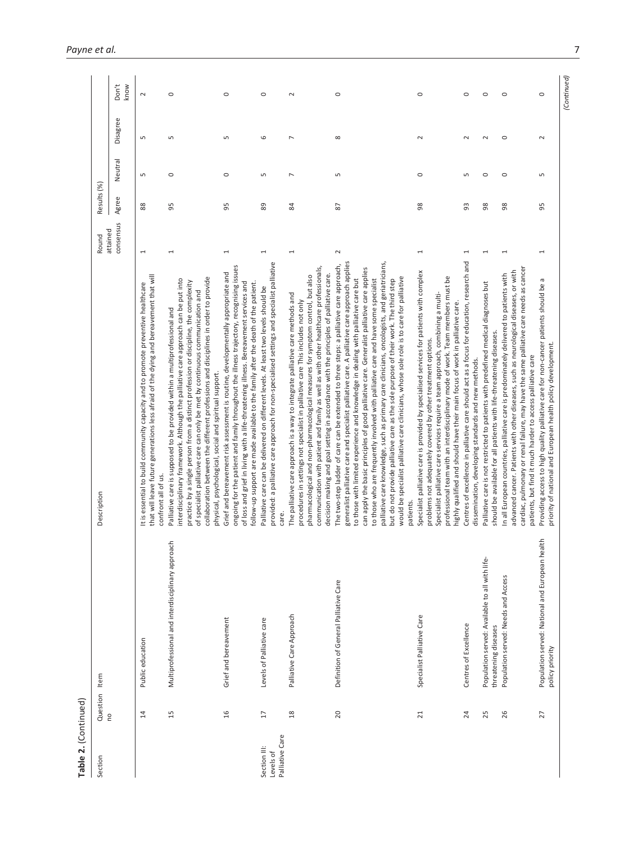| Table 2. (Continued)                         |                 |                                                                        |                                                                                                                                                                                                                                                                                                                                                                                                                                                                                                                                                                                                                                                                                                                                                                     |                       |             |                |                         |               |
|----------------------------------------------|-----------------|------------------------------------------------------------------------|---------------------------------------------------------------------------------------------------------------------------------------------------------------------------------------------------------------------------------------------------------------------------------------------------------------------------------------------------------------------------------------------------------------------------------------------------------------------------------------------------------------------------------------------------------------------------------------------------------------------------------------------------------------------------------------------------------------------------------------------------------------------|-----------------------|-------------|----------------|-------------------------|---------------|
| Section                                      | Question        | Item                                                                   | Description                                                                                                                                                                                                                                                                                                                                                                                                                                                                                                                                                                                                                                                                                                                                                         | Round                 | Results (%) |                |                         |               |
|                                              | $\overline{c}$  |                                                                        |                                                                                                                                                                                                                                                                                                                                                                                                                                                                                                                                                                                                                                                                                                                                                                     | consensus<br>attained | Agree       | Neutral        | Disagree                | Don't<br>know |
|                                              | $\overline{1}$  | Public education                                                       | that will leave future generations less afraid of the dying and bereavement that will<br>It is essential to build community capacity and to promote preventive healthcare<br>confront all of us.                                                                                                                                                                                                                                                                                                                                                                                                                                                                                                                                                                    | $\overline{ }$        | 88          | $\sqrt{2}$     | $\sqrt{2}$              | $\sim$        |
|                                              | 15              | Multiprofessional and interdisciplinary approach                       | collaboration between the different professions and disciplines in order to provide<br>interdisciplinary framework. Although the palliative care approach can be put into<br>practice by a single person from a distinct profession or discipline, the complexity<br>of specialist palliative care can only be met by continuous communication and<br>Palliative care is supposed to be provided within a multiprofessional and<br>physical, psychological, social and spiritual support.                                                                                                                                                                                                                                                                           | 1                     | 5           | $\circ$        | ш٦                      | $\circ$       |
|                                              | 16              | Grief and bereavement                                                  | ongoing for the patient and family throughout the illness trajectory, recognising issues<br>Grief and bereavement risk assessment is routine, developmentally appropriate and<br>of loss and grief in living with a life-threatening illness. Bereavement services and<br>follow-up support are made available to the family after the death of the patient.                                                                                                                                                                                                                                                                                                                                                                                                        | 1                     | 95          | $\circ$        | 5                       | $\circ$       |
| Palliative Care<br>Section III:<br>Levels of | $17$            | Levels of Palliative care                                              | provided: a palliative care approach for non-specialised settings and specialist palliative<br>Palliative care can be delivered on different levels. At least two levels should be<br>care.                                                                                                                                                                                                                                                                                                                                                                                                                                                                                                                                                                         | 1                     | 89          | Б              | 6                       | $\circ$       |
|                                              | $\frac{8}{18}$  | Palliative Care Approach                                               | communication with patient and family as well as with other healthcare professionals,<br>decision making and goal setting in accordance with the principles of palliative care.<br>pharmacological and non-pharmacological measures for symptom control, but also<br>The palliative care approach is a way to integrate palliative care methods and<br>procedures in settings not specialist in palliative care This includes not only                                                                                                                                                                                                                                                                                                                              | 1                     | 84          | $\overline{ }$ | N                       | $\sim$        |
|                                              | 20              | Definition of General Palliative Care                                  | generalist palliative care and specialist palliative care. A palliative care approach applies<br>palliative care knowledge, such as primary care clinicians, oncologists, and geriatricians,<br>The two-step ladder of care can be extended to three steps: a palliative care approach,<br>can apply the basic principles of good palliative care. Generalist palliative care applies<br>would be specialist palliative care clinicians, whose sole role is to care for palliative<br>to those with limited experience and knowledge in dealing with palliative care but<br>but do not provide palliative care as the sole purpose of their work. The third step<br>to those who are frequently involved with palliative care and have some specialist<br>patients. | $\sim$                | 52          | 5              | $\infty$                | $\circ$       |
|                                              | $\overline{21}$ | Specialist Palliative Care                                             | Specialist palliative care is provided by specialised services for patients with complex<br>professional team with an interdisciplinary mode of work. Team members must be<br>Specialist palliative care services require a team approach, combining a multi-<br>highly qualified and should have their main focus of work in palliative care.<br>problems not adequately covered by other treatment options.                                                                                                                                                                                                                                                                                                                                                       | 1                     | 88          | $\circ$        | $\sim$                  | $\circ$       |
|                                              | 24              | Centres of Excellence                                                  | Centres of excellence in palliative care should act as a focus for education, research and<br>dissemination, developing standards and new methods.                                                                                                                                                                                                                                                                                                                                                                                                                                                                                                                                                                                                                  | 1                     | 33          | Б              | $\sim$                  | $\circ$       |
|                                              | 25              | Population served: Available to all with life-<br>threatening diseases | Palliative care is not restricted to patients with predefined medical diagnoses but<br>should be available for all patients with life-threatening diseases.                                                                                                                                                                                                                                                                                                                                                                                                                                                                                                                                                                                                         | 1                     | 88          | $\circ$        | $\sim$                  | $\circ$       |
|                                              | 26              | Population served: Needs and Access                                    | cardiac, pulmonary or renal failure, may have the same palliative care needs as cancer<br>advanced cancer. Patients with other diseases, such as neurological diseases, or with<br>In all European countries, palliative care is predominately delivered to patients with<br>patients, but find it much harder to access palliative care                                                                                                                                                                                                                                                                                                                                                                                                                            | 1                     | 98          | $\circ$        | $\circ$                 | $\circ$       |
|                                              | 27              | Population served: National and European health<br>policy priority     | Providing access to high quality palliative care for non-cancer patients should be a<br>priority of national and European health policy development.                                                                                                                                                                                                                                                                                                                                                                                                                                                                                                                                                                                                                |                       | 55          | 5              | $\overline{\mathsf{C}}$ | $\circ$       |

*(Continued)*

 $(Continued)$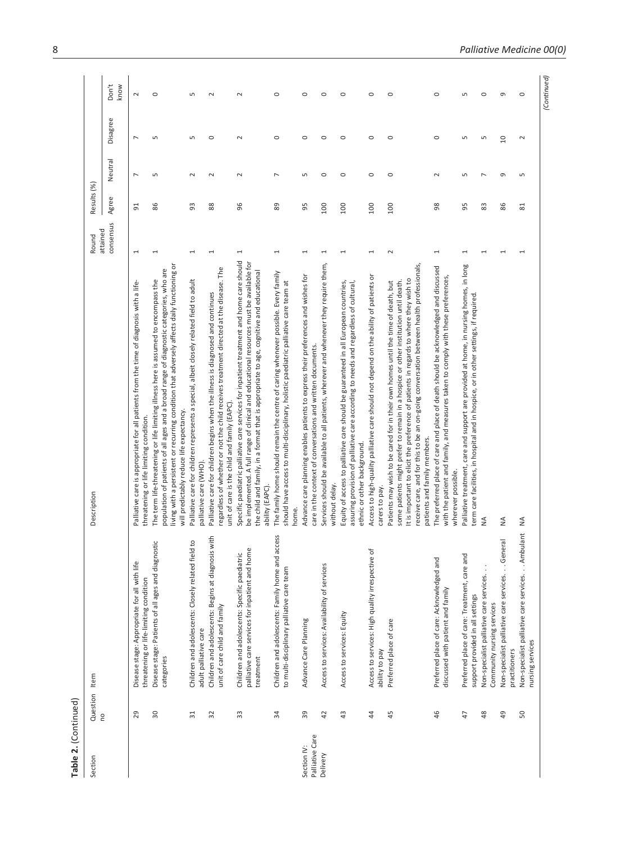| Don't<br>know<br>$\circ$<br>$\circ$<br>$\circ$<br>$\circ$<br>S<br>$\circ$<br>$\circ$<br>$\circ$<br>$\circ$<br>$\circ$<br>S<br>$\circ$<br>G<br>$\sim$<br>$\sim$<br>$\sim$<br>Disagree<br>$\circ$<br>S<br>Б<br>$\circ$<br>$\sim$<br>$\circ$<br>$\circ$<br>$\circ$<br>$\circ$<br>$\circ$<br>0<br>Б<br>LN<br>S<br>2<br>r<br>Neutral<br>$\circ$<br>$\circ$<br>$\circ$<br>$\circ$<br>G<br>$\overline{ }$<br>Б<br>$\sim$<br>$\sim$<br>$\sim$<br>L<br>Б<br>$\sim$<br>Б<br>Z<br>Б<br>Agree<br>86<br>96<br>89<br>95<br>8<br>83<br>86<br>93<br>88<br>100<br>100<br>100<br>95<br>51<br>100<br>$\overline{81}$<br>consensus<br>1<br>$\sim$<br>$\overline{\phantom{0}}$<br>1<br>1<br>$\overline{ }$<br>1<br>1<br>1<br>1<br>1<br>1<br>1<br>1<br>1<br>Specific paediatric palliative care services for inpatient treatment and home care should<br>be implemented. A full range of clinical and educational resources must be available for<br>living with a persistent or recurring condition that adversely affects daily functioning or<br>Services should be available to all patients, wherever and whenever they require them,<br>receive care, and for this to be an on-going conversation between health professionals,<br>Palliative treatment, care and support are provided at home, in nursing homes, in long<br>The preferred place of care and place of death should be acknowledged and discussed<br>regardless of whether or not the child receives treatment directed at the disease. The<br>population of patients of all ages and a broad range of diagnostic categories, who are<br>the child and family, in a format that is appropriate to age, cognitive and educational<br>The family home should remain the centre of caring whenever possible. Every family<br>Access to high-quality palliative care should not depend on the ability of patients or<br>Advance care planning enables patients to express their preferences and wishes for<br>with the patient and family, and measures taken to comply with these preferences,<br>It is important to elicit the preference of patients in regards to where they wish to<br>Palliative care for children represents a special, albeit closely related field to adult<br>The term life-threatening or life limiting illness here is assumed to encompass the<br>Patients may wish to be cared for in their own homes until the time of death, but<br>some patients might prefer to remain in a hospice or other institution until death.<br>should have access to multi-disciplinary, holistic paediatric palliative care team at<br>Equity of access to palliative care should be guaranteed in all European countries,<br>Palliative care is appropriate for all patients from the time of diagnosis with a life-<br>assuring provision of palliative care according to needs and regardless of cultural<br>Palliative care for children begins when the illness is diagnosed and continues<br>term care facilities, in hospital and in hospice, or in other settings, if required<br>care in the context of conversations and written documents<br>unit of care is the child and family (EAPC).<br>will predictably reduce life expectancy.<br>threatening or life limiting condition.<br>patients and family members.<br>ethnic or other background.<br>palliative care (WHO)<br>wherever possible.<br>without delay.<br>ability (EAPC).<br>carers to pay.<br>home.<br>≨<br>≨<br>≨<br>Non-specialist palliative care services. Ambulant<br>access<br>Children and adolescents: Begins at diagnosis with<br>Non-specialist palliative care services. General<br>ld to<br>ostic<br>palliative care services for inpatient and home<br>Access to services: High quality irrespective of<br>Children and adolescents: Closely related fie<br>Children and adolescents: Specific paediatric<br>Preferred place of care: Treatment, care and<br>Disease stage: Patients of all ages and diagno<br>Children and adolescents: Family home and<br>Preferred place of care: Acknowledged and<br>Disease stage: Appropriate for all with life<br>Access to services: Availability of services<br>to multi-disciplinary palliative care team<br>Non-specialist palliative care services.<br>threatening or life-limiting condition<br>discussed with patient and family<br>support provided in all settings<br>Community nursing services<br>unit of care child and family<br>Access to services: Equity<br>Advance Care Planning<br>Preferred place of care<br>adult palliative care<br>nursing services<br>ability to pay<br>practitioners<br>treatment<br>categories<br>33<br>34<br>39<br>29<br>$\overline{30}$<br>32<br>49<br>$\overline{31}$<br>42<br>45<br>46<br>48<br>50<br>$\sqrt{3}$<br>4<br>47<br>Palliative Care<br>Section IV:<br>Delivery | Section | Question<br><b>DU</b> | Item | Description | attained<br>Round | Results (%) |  |  |
|----------------------------------------------------------------------------------------------------------------------------------------------------------------------------------------------------------------------------------------------------------------------------------------------------------------------------------------------------------------------------------------------------------------------------------------------------------------------------------------------------------------------------------------------------------------------------------------------------------------------------------------------------------------------------------------------------------------------------------------------------------------------------------------------------------------------------------------------------------------------------------------------------------------------------------------------------------------------------------------------------------------------------------------------------------------------------------------------------------------------------------------------------------------------------------------------------------------------------------------------------------------------------------------------------------------------------------------------------------------------------------------------------------------------------------------------------------------------------------------------------------------------------------------------------------------------------------------------------------------------------------------------------------------------------------------------------------------------------------------------------------------------------------------------------------------------------------------------------------------------------------------------------------------------------------------------------------------------------------------------------------------------------------------------------------------------------------------------------------------------------------------------------------------------------------------------------------------------------------------------------------------------------------------------------------------------------------------------------------------------------------------------------------------------------------------------------------------------------------------------------------------------------------------------------------------------------------------------------------------------------------------------------------------------------------------------------------------------------------------------------------------------------------------------------------------------------------------------------------------------------------------------------------------------------------------------------------------------------------------------------------------------------------------------------------------------------------------------------------------------------------------------------------------------------------------------------------------------------------------------------------------------------------------------------------------------------------------------------------------------------------------------------------------------------------------------------------------------------------------------------------------------------------------------------------------------------------------------------------------------------------------------------------------------------------------------------------------------------------------------------------------------------------------------------------------------------------------------------------------------------------------------------------------------------------------------------------------------------------------------------------------------------------------------------------------------------------------------------------------------------------------------------------------------------------------------------------------------------------------------------------------------------------------------------------------------------------------------------------------------------------------------------------------------------------------------------------------------------------------------------------------------------------------------------------------------------------------------------------------------------------------------------------------------------------------------------------------------------------------------------------------------------------------------------------|---------|-----------------------|------|-------------|-------------------|-------------|--|--|
|                                                                                                                                                                                                                                                                                                                                                                                                                                                                                                                                                                                                                                                                                                                                                                                                                                                                                                                                                                                                                                                                                                                                                                                                                                                                                                                                                                                                                                                                                                                                                                                                                                                                                                                                                                                                                                                                                                                                                                                                                                                                                                                                                                                                                                                                                                                                                                                                                                                                                                                                                                                                                                                                                                                                                                                                                                                                                                                                                                                                                                                                                                                                                                                                                                                                                                                                                                                                                                                                                                                                                                                                                                                                                                                                                                                                                                                                                                                                                                                                                                                                                                                                                                                                                                                                                                                                                                                                                                                                                                                                                                                                                                                                                                                                                                                                          |         |                       |      |             |                   |             |  |  |
|                                                                                                                                                                                                                                                                                                                                                                                                                                                                                                                                                                                                                                                                                                                                                                                                                                                                                                                                                                                                                                                                                                                                                                                                                                                                                                                                                                                                                                                                                                                                                                                                                                                                                                                                                                                                                                                                                                                                                                                                                                                                                                                                                                                                                                                                                                                                                                                                                                                                                                                                                                                                                                                                                                                                                                                                                                                                                                                                                                                                                                                                                                                                                                                                                                                                                                                                                                                                                                                                                                                                                                                                                                                                                                                                                                                                                                                                                                                                                                                                                                                                                                                                                                                                                                                                                                                                                                                                                                                                                                                                                                                                                                                                                                                                                                                                          |         |                       |      |             |                   |             |  |  |
|                                                                                                                                                                                                                                                                                                                                                                                                                                                                                                                                                                                                                                                                                                                                                                                                                                                                                                                                                                                                                                                                                                                                                                                                                                                                                                                                                                                                                                                                                                                                                                                                                                                                                                                                                                                                                                                                                                                                                                                                                                                                                                                                                                                                                                                                                                                                                                                                                                                                                                                                                                                                                                                                                                                                                                                                                                                                                                                                                                                                                                                                                                                                                                                                                                                                                                                                                                                                                                                                                                                                                                                                                                                                                                                                                                                                                                                                                                                                                                                                                                                                                                                                                                                                                                                                                                                                                                                                                                                                                                                                                                                                                                                                                                                                                                                                          |         |                       |      |             |                   |             |  |  |
|                                                                                                                                                                                                                                                                                                                                                                                                                                                                                                                                                                                                                                                                                                                                                                                                                                                                                                                                                                                                                                                                                                                                                                                                                                                                                                                                                                                                                                                                                                                                                                                                                                                                                                                                                                                                                                                                                                                                                                                                                                                                                                                                                                                                                                                                                                                                                                                                                                                                                                                                                                                                                                                                                                                                                                                                                                                                                                                                                                                                                                                                                                                                                                                                                                                                                                                                                                                                                                                                                                                                                                                                                                                                                                                                                                                                                                                                                                                                                                                                                                                                                                                                                                                                                                                                                                                                                                                                                                                                                                                                                                                                                                                                                                                                                                                                          |         |                       |      |             |                   |             |  |  |
|                                                                                                                                                                                                                                                                                                                                                                                                                                                                                                                                                                                                                                                                                                                                                                                                                                                                                                                                                                                                                                                                                                                                                                                                                                                                                                                                                                                                                                                                                                                                                                                                                                                                                                                                                                                                                                                                                                                                                                                                                                                                                                                                                                                                                                                                                                                                                                                                                                                                                                                                                                                                                                                                                                                                                                                                                                                                                                                                                                                                                                                                                                                                                                                                                                                                                                                                                                                                                                                                                                                                                                                                                                                                                                                                                                                                                                                                                                                                                                                                                                                                                                                                                                                                                                                                                                                                                                                                                                                                                                                                                                                                                                                                                                                                                                                                          |         |                       |      |             |                   |             |  |  |
|                                                                                                                                                                                                                                                                                                                                                                                                                                                                                                                                                                                                                                                                                                                                                                                                                                                                                                                                                                                                                                                                                                                                                                                                                                                                                                                                                                                                                                                                                                                                                                                                                                                                                                                                                                                                                                                                                                                                                                                                                                                                                                                                                                                                                                                                                                                                                                                                                                                                                                                                                                                                                                                                                                                                                                                                                                                                                                                                                                                                                                                                                                                                                                                                                                                                                                                                                                                                                                                                                                                                                                                                                                                                                                                                                                                                                                                                                                                                                                                                                                                                                                                                                                                                                                                                                                                                                                                                                                                                                                                                                                                                                                                                                                                                                                                                          |         |                       |      |             |                   |             |  |  |
|                                                                                                                                                                                                                                                                                                                                                                                                                                                                                                                                                                                                                                                                                                                                                                                                                                                                                                                                                                                                                                                                                                                                                                                                                                                                                                                                                                                                                                                                                                                                                                                                                                                                                                                                                                                                                                                                                                                                                                                                                                                                                                                                                                                                                                                                                                                                                                                                                                                                                                                                                                                                                                                                                                                                                                                                                                                                                                                                                                                                                                                                                                                                                                                                                                                                                                                                                                                                                                                                                                                                                                                                                                                                                                                                                                                                                                                                                                                                                                                                                                                                                                                                                                                                                                                                                                                                                                                                                                                                                                                                                                                                                                                                                                                                                                                                          |         |                       |      |             |                   |             |  |  |
|                                                                                                                                                                                                                                                                                                                                                                                                                                                                                                                                                                                                                                                                                                                                                                                                                                                                                                                                                                                                                                                                                                                                                                                                                                                                                                                                                                                                                                                                                                                                                                                                                                                                                                                                                                                                                                                                                                                                                                                                                                                                                                                                                                                                                                                                                                                                                                                                                                                                                                                                                                                                                                                                                                                                                                                                                                                                                                                                                                                                                                                                                                                                                                                                                                                                                                                                                                                                                                                                                                                                                                                                                                                                                                                                                                                                                                                                                                                                                                                                                                                                                                                                                                                                                                                                                                                                                                                                                                                                                                                                                                                                                                                                                                                                                                                                          |         |                       |      |             |                   |             |  |  |
|                                                                                                                                                                                                                                                                                                                                                                                                                                                                                                                                                                                                                                                                                                                                                                                                                                                                                                                                                                                                                                                                                                                                                                                                                                                                                                                                                                                                                                                                                                                                                                                                                                                                                                                                                                                                                                                                                                                                                                                                                                                                                                                                                                                                                                                                                                                                                                                                                                                                                                                                                                                                                                                                                                                                                                                                                                                                                                                                                                                                                                                                                                                                                                                                                                                                                                                                                                                                                                                                                                                                                                                                                                                                                                                                                                                                                                                                                                                                                                                                                                                                                                                                                                                                                                                                                                                                                                                                                                                                                                                                                                                                                                                                                                                                                                                                          |         |                       |      |             |                   |             |  |  |
|                                                                                                                                                                                                                                                                                                                                                                                                                                                                                                                                                                                                                                                                                                                                                                                                                                                                                                                                                                                                                                                                                                                                                                                                                                                                                                                                                                                                                                                                                                                                                                                                                                                                                                                                                                                                                                                                                                                                                                                                                                                                                                                                                                                                                                                                                                                                                                                                                                                                                                                                                                                                                                                                                                                                                                                                                                                                                                                                                                                                                                                                                                                                                                                                                                                                                                                                                                                                                                                                                                                                                                                                                                                                                                                                                                                                                                                                                                                                                                                                                                                                                                                                                                                                                                                                                                                                                                                                                                                                                                                                                                                                                                                                                                                                                                                                          |         |                       |      |             |                   |             |  |  |
|                                                                                                                                                                                                                                                                                                                                                                                                                                                                                                                                                                                                                                                                                                                                                                                                                                                                                                                                                                                                                                                                                                                                                                                                                                                                                                                                                                                                                                                                                                                                                                                                                                                                                                                                                                                                                                                                                                                                                                                                                                                                                                                                                                                                                                                                                                                                                                                                                                                                                                                                                                                                                                                                                                                                                                                                                                                                                                                                                                                                                                                                                                                                                                                                                                                                                                                                                                                                                                                                                                                                                                                                                                                                                                                                                                                                                                                                                                                                                                                                                                                                                                                                                                                                                                                                                                                                                                                                                                                                                                                                                                                                                                                                                                                                                                                                          |         |                       |      |             |                   |             |  |  |
|                                                                                                                                                                                                                                                                                                                                                                                                                                                                                                                                                                                                                                                                                                                                                                                                                                                                                                                                                                                                                                                                                                                                                                                                                                                                                                                                                                                                                                                                                                                                                                                                                                                                                                                                                                                                                                                                                                                                                                                                                                                                                                                                                                                                                                                                                                                                                                                                                                                                                                                                                                                                                                                                                                                                                                                                                                                                                                                                                                                                                                                                                                                                                                                                                                                                                                                                                                                                                                                                                                                                                                                                                                                                                                                                                                                                                                                                                                                                                                                                                                                                                                                                                                                                                                                                                                                                                                                                                                                                                                                                                                                                                                                                                                                                                                                                          |         |                       |      |             |                   |             |  |  |
|                                                                                                                                                                                                                                                                                                                                                                                                                                                                                                                                                                                                                                                                                                                                                                                                                                                                                                                                                                                                                                                                                                                                                                                                                                                                                                                                                                                                                                                                                                                                                                                                                                                                                                                                                                                                                                                                                                                                                                                                                                                                                                                                                                                                                                                                                                                                                                                                                                                                                                                                                                                                                                                                                                                                                                                                                                                                                                                                                                                                                                                                                                                                                                                                                                                                                                                                                                                                                                                                                                                                                                                                                                                                                                                                                                                                                                                                                                                                                                                                                                                                                                                                                                                                                                                                                                                                                                                                                                                                                                                                                                                                                                                                                                                                                                                                          |         |                       |      |             |                   |             |  |  |
|                                                                                                                                                                                                                                                                                                                                                                                                                                                                                                                                                                                                                                                                                                                                                                                                                                                                                                                                                                                                                                                                                                                                                                                                                                                                                                                                                                                                                                                                                                                                                                                                                                                                                                                                                                                                                                                                                                                                                                                                                                                                                                                                                                                                                                                                                                                                                                                                                                                                                                                                                                                                                                                                                                                                                                                                                                                                                                                                                                                                                                                                                                                                                                                                                                                                                                                                                                                                                                                                                                                                                                                                                                                                                                                                                                                                                                                                                                                                                                                                                                                                                                                                                                                                                                                                                                                                                                                                                                                                                                                                                                                                                                                                                                                                                                                                          |         |                       |      |             |                   |             |  |  |
|                                                                                                                                                                                                                                                                                                                                                                                                                                                                                                                                                                                                                                                                                                                                                                                                                                                                                                                                                                                                                                                                                                                                                                                                                                                                                                                                                                                                                                                                                                                                                                                                                                                                                                                                                                                                                                                                                                                                                                                                                                                                                                                                                                                                                                                                                                                                                                                                                                                                                                                                                                                                                                                                                                                                                                                                                                                                                                                                                                                                                                                                                                                                                                                                                                                                                                                                                                                                                                                                                                                                                                                                                                                                                                                                                                                                                                                                                                                                                                                                                                                                                                                                                                                                                                                                                                                                                                                                                                                                                                                                                                                                                                                                                                                                                                                                          |         |                       |      |             |                   |             |  |  |
|                                                                                                                                                                                                                                                                                                                                                                                                                                                                                                                                                                                                                                                                                                                                                                                                                                                                                                                                                                                                                                                                                                                                                                                                                                                                                                                                                                                                                                                                                                                                                                                                                                                                                                                                                                                                                                                                                                                                                                                                                                                                                                                                                                                                                                                                                                                                                                                                                                                                                                                                                                                                                                                                                                                                                                                                                                                                                                                                                                                                                                                                                                                                                                                                                                                                                                                                                                                                                                                                                                                                                                                                                                                                                                                                                                                                                                                                                                                                                                                                                                                                                                                                                                                                                                                                                                                                                                                                                                                                                                                                                                                                                                                                                                                                                                                                          |         |                       |      |             |                   |             |  |  |
|                                                                                                                                                                                                                                                                                                                                                                                                                                                                                                                                                                                                                                                                                                                                                                                                                                                                                                                                                                                                                                                                                                                                                                                                                                                                                                                                                                                                                                                                                                                                                                                                                                                                                                                                                                                                                                                                                                                                                                                                                                                                                                                                                                                                                                                                                                                                                                                                                                                                                                                                                                                                                                                                                                                                                                                                                                                                                                                                                                                                                                                                                                                                                                                                                                                                                                                                                                                                                                                                                                                                                                                                                                                                                                                                                                                                                                                                                                                                                                                                                                                                                                                                                                                                                                                                                                                                                                                                                                                                                                                                                                                                                                                                                                                                                                                                          |         |                       |      |             |                   |             |  |  |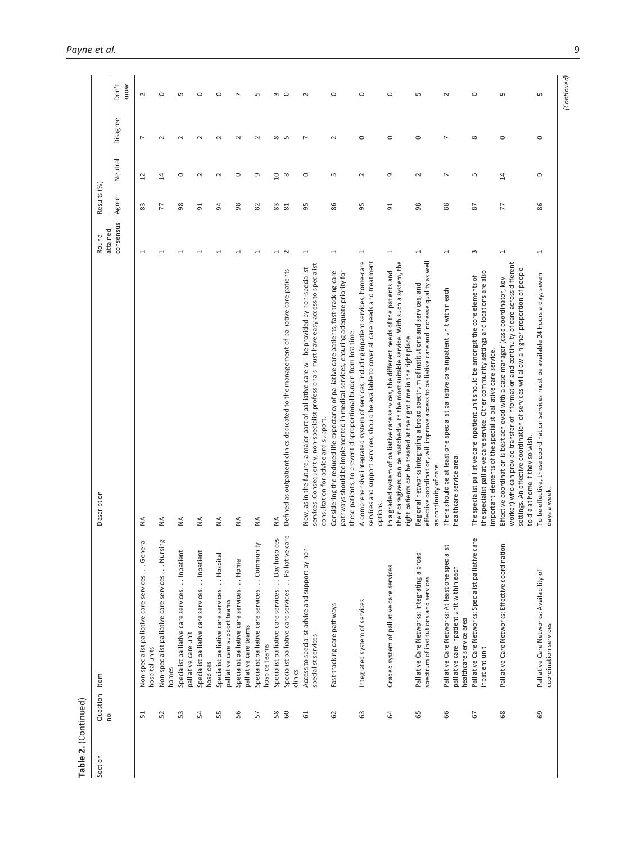| Table 2. (Continued) |           |                                                                                                                            |                                                                                                                                                                                                                                                                                                              |                       |             |                |                |               |
|----------------------|-----------|----------------------------------------------------------------------------------------------------------------------------|--------------------------------------------------------------------------------------------------------------------------------------------------------------------------------------------------------------------------------------------------------------------------------------------------------------|-----------------------|-------------|----------------|----------------|---------------|
| Section              | Question  | Item                                                                                                                       | Description                                                                                                                                                                                                                                                                                                  | Round                 | Results (%) |                |                |               |
|                      | <b>PO</b> |                                                                                                                            |                                                                                                                                                                                                                                                                                                              | consensus<br>attained | Agree       | Neutral        | Disagree       | Don't<br>know |
|                      | 51        | Non-specialist palliative care services. General<br>hospital units                                                         | ≨                                                                                                                                                                                                                                                                                                            | 1                     | 83          | 2              | $\overline{ }$ | $\sim$        |
|                      | 52        | ing<br>Non-specialist palliative care services. Nurs<br>homes                                                              | ≨                                                                                                                                                                                                                                                                                                            |                       | 77          | 14             | $\sim$         | $\circ$       |
|                      | 53        | Specialist palliative care services. Inpatient<br>palliative care unit                                                     | $\lessgtr$                                                                                                                                                                                                                                                                                                   |                       | 98          | $\circ$        | $\sim$         | S             |
|                      | 54        | Specialist palliative care services. Inpatient<br>hospices                                                                 | ≸                                                                                                                                                                                                                                                                                                            |                       | 51          | $\sim$         | $\sim$         | $\circ$       |
|                      | 55        | . Hospital<br>Specialist palliative care services.<br>palliative care support teams                                        | $\frac{1}{2}$                                                                                                                                                                                                                                                                                                |                       | 5           | $\mathbf 2$    | $\sim$         | $\circ$       |
|                      | 56        | $. .$ Home<br>Specialist palliative care services.<br>palliative care teams                                                | ₹                                                                                                                                                                                                                                                                                                            |                       | 8           | $\circ$        | $\sim$         | L             |
|                      | 57        | Specialist palliative care services. Community<br>hospice teams                                                            | $\frac{4}{2}$                                                                                                                                                                                                                                                                                                |                       | 82          | $\sigma$       | $\sim$         | S             |
|                      | 58        | Specialist palliative care services. Day hospices                                                                          | ₹                                                                                                                                                                                                                                                                                                            |                       |             | 10             | $\infty$       | 3             |
|                      | 60        | Specialist palliative care services. Palliative care<br>clinics                                                            | Defined as outpatient clinics dedicated to the management of palliative care patients                                                                                                                                                                                                                        | $\sim$                | 83<br>81    | $\infty$       | $\sqrt{2}$     | $\circ$       |
|                      | 61        | Access to specialist advice and support by non-<br>specialist services                                                     | services. Consequently, non-specialist professionals must have easy access to specialist<br>Now, as in the future, a major part of palliative care will be provided by non-specialist<br>consultation for advice and support.                                                                                | 1                     | 95          | $\circ$        | $\overline{ }$ | 2             |
|                      | 62        | Fast-tracking care pathways                                                                                                | Considering the reduced life expectancy of palliative care patients, fast-tracking care<br>pathways should be implemented in medical services, ensuring adequate priority for<br>these patients, to prevent disproportional burden from lost time.                                                           | $\overline{ }$        | 86          | S              | $\sim$         | $\circ$       |
|                      | යි        | Integrated system of services                                                                                              | services and support services, should be available to cover all care needs and treatment<br>A comprehensive integrated system of services, including inpatient services, home-care<br>options.                                                                                                               | 1                     | 56          | $\sim$         | $\circ$        | $\circ$       |
|                      | 3         | Graded system of palliative care services                                                                                  | their caregivers can be matched with the most suitable service. With such a system, the<br>In a graded system of palliative care services, the different needs of the patients and<br>right patients can be treated at the right time in the right place.                                                    | 1                     | 51          | G              | $\circ$        | $\circ$       |
|                      | 65        | Palliative Care Networks: Integrating a broad<br>spectrum of institutions and services                                     | effective coordination, will improve access to palliative care and increase quality as well<br>Regional networks integrating a broad spectrum of institutions and services, and<br>as continuity of care.                                                                                                    | 1                     | 98          | $\sim$         | $\circ$        | Б             |
|                      | 66        | Palliative Care Networks: At least one specialist<br>palliative care inpatient unit within each<br>healthcare service area | There should be at least one specialist palliative care inpatient unit within each<br>healthcare service area.                                                                                                                                                                                               | 1                     | 88          | $\overline{ }$ | $\overline{ }$ | $\sim$        |
|                      | 67        | are<br>Palliative Care Networks: Specialist palliative c<br>inpatient unit                                                 | the specialist palliative care service. Other community settings and locations are also<br>The specialist palliative care inpatient unit should be amongst the core elements of<br>important elements of the specialist palliative care service.                                                             | S                     | 67          | S              | ${}^{\circ}$   | $\circ$       |
|                      | 68        | Palliative Care Networks: Effective coordination                                                                           | worker) who can provide transfer of information and continuity of care across different<br>settings. An effective coordination of services will allow a higher proportion of people<br>Effective coordination is best achieved with a case manager (case coordinator, key<br>to die at home if they so wish. |                       | 77          | 14             | $\circ$        | S             |
|                      | 69        | Palliative Care Networks: Availability of<br>coordination services                                                         | To be effective, these coordination services must be available 24 hours a day, seven<br>days a week.                                                                                                                                                                                                         | 1                     | 86          | G              | $\circ$        | S             |

*(Continued)*

 $(Continued)$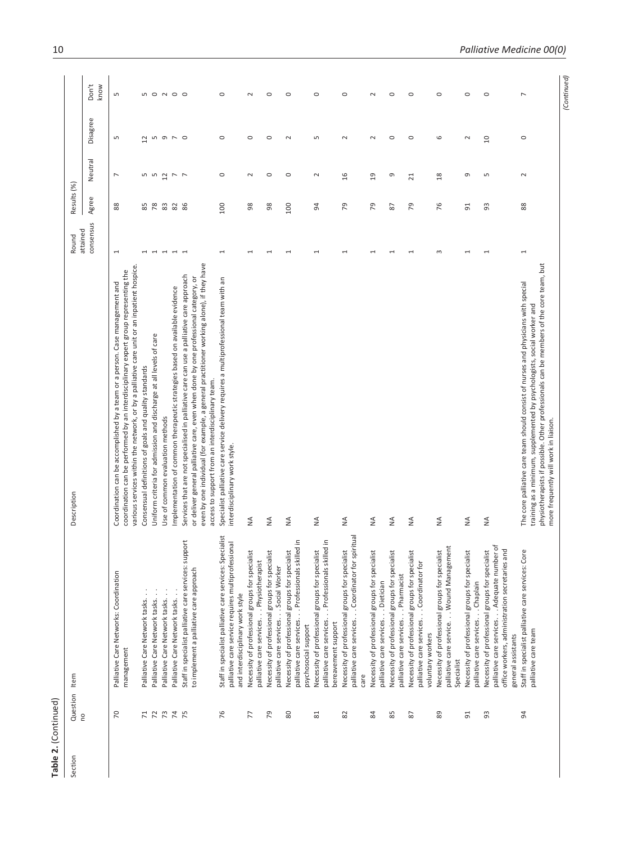| Section | Question<br>no | Item                                                                                                                                                                      | Description                                                                                                                                                                                                                                                                                                                     | attained<br>Round | Results (%)    |                 |          |                |
|---------|----------------|---------------------------------------------------------------------------------------------------------------------------------------------------------------------------|---------------------------------------------------------------------------------------------------------------------------------------------------------------------------------------------------------------------------------------------------------------------------------------------------------------------------------|-------------------|----------------|-----------------|----------|----------------|
|         |                |                                                                                                                                                                           |                                                                                                                                                                                                                                                                                                                                 | consensus         | Agree          | Neutral         | Disagree | Don't<br>know  |
|         | $\overline{2}$ | Palliative Care Networks: Coordination<br>management                                                                                                                      | various services within the network, or by a palliative care unit or an inpatient hospice.<br>coordination can be performed by an interdisciplinary expert group representing the<br>Coordination can be accomplished by a team or a person. Case management and                                                                | $\overline{ }$    | 88             | $\overline{ }$  | S        | S              |
|         | $\mathsf{r}$   | Palliative Care Network tasks.                                                                                                                                            | Consensual definitions of goals and quality standards                                                                                                                                                                                                                                                                           |                   | 85             |                 | 51       |                |
|         | $\overline{r}$ | Palliative Care Network tasks                                                                                                                                             | Uniform criteria for admission and discharge at all levels of care                                                                                                                                                                                                                                                              |                   | 78             |                 |          |                |
|         | 73             | Palliative Care Network tasks                                                                                                                                             | Use of common evaluation methods                                                                                                                                                                                                                                                                                                |                   | <b>83 S</b>    | n n u r r       | n o r o  | <b>5000000</b> |
|         | $\overline{7}$ | Palliative Care Network tasks                                                                                                                                             | Implementation of common therapeutic strategies based on available evidence                                                                                                                                                                                                                                                     |                   |                |                 |          |                |
|         | 75             | port<br>Staff in specialist palliative care services: sup<br>to implement a palliative care approach                                                                      | even by one individual (for example, a general practitioner working alone), if they have<br>Services that are not specialised in palliative care can use a palliative care approach<br>or deliver general palliative care, even when done by one professional category, or<br>access to support from an interdisciplinary team. |                   | 86             |                 |          |                |
|         | 76             | Staff in specialist palliative care services: Specialist<br>palliative care service requires multiprofessional<br>and interdisciplinary work style                        | Specialist palliative care service delivery requires a multiprofessional team with an<br>interdisciplinary work style.                                                                                                                                                                                                          | 1                 | 100            | $\circ$         | $\circ$  | $\circ$        |
|         | 77             | Necessity of professional groups for specialist<br>palliative care services. Physiotherapist                                                                              | ≨                                                                                                                                                                                                                                                                                                                               | ſ                 | 98             | $\sim$          | $\circ$  | $\sim$         |
|         | 54             | Necessity of professional groups for speciali<br>palliative care services. Social Worker                                                                                  | ≨                                                                                                                                                                                                                                                                                                                               |                   | 98             | $\circ$         | $\circ$  | $\circ$        |
|         | 80             | palliative care services. Professionals skilled in<br>Necessity of professional groups for specialist<br>psychosocial support                                             | ≨                                                                                                                                                                                                                                                                                                                               |                   | 100            | $\circ$         | $\sim$   | $\circ$        |
|         | 81             | palliative care services. Professionals skilled in<br>Necessity of professional groups for specialist<br>bereavement support                                              | ₹                                                                                                                                                                                                                                                                                                                               |                   | 94             | $\sim$          | Б        | $\circ$        |
|         | 82             | palliative care services. Coordinator for spiritual<br>Necessity of professional groups for specialist<br>care                                                            | ≨                                                                                                                                                                                                                                                                                                                               |                   | 54             | 16              | 2        | $\circ$        |
|         | 84             | Necessity of professional groups for specialist<br>palliative care services. Dietician                                                                                    | ≨                                                                                                                                                                                                                                                                                                                               | 1                 | 54             | $\overline{1}$  | $\sim$   | $\sim$         |
|         | 85             | Necessity of professional groups for specialis<br>palliative care services. Pharmacist                                                                                    | ≨                                                                                                                                                                                                                                                                                                                               |                   | 28             | G               | $\circ$  | $\circ$        |
|         | 2              | Necessity of professional groups for specialis<br>palliative care services. Coordinator for<br>voluntary workers                                                          | ₹                                                                                                                                                                                                                                                                                                                               | $\overline{ }$    | 54             | $\overline{21}$ | $\circ$  | $\circ$        |
|         | 89             | palliative care service. Wound Management<br>Necessity of professional groups for specialist<br>Specialist                                                                | ≨                                                                                                                                                                                                                                                                                                                               | 3                 | 76             | $^{28}$         | 6        | $\circ$        |
|         | 51             | Necessity of professional groups for specialist<br>palliative care services. Chaplain                                                                                     | ≨                                                                                                                                                                                                                                                                                                                               |                   | 5 <sup>1</sup> | G               | $\sim$   | $\circ$        |
|         | 3              | đ<br>office workers, administration secretaries and<br>Necessity of professional groups for specialist<br>palliative care services. Adequate number<br>general assistants | $\frac{4}{2}$                                                                                                                                                                                                                                                                                                                   |                   | 93             | S               | S        | $\circ$        |
|         | 54             | $\mathbb Q$<br>Staff in specialist palliative care services: Cor<br>palliative care team                                                                                  | physiotherapists if possible. Other professionals can be members of the core team, but<br>The core palliative care team should consist of nurses and physicians with special<br>training as a minimum, supplemented by psychologists, social worker and<br>more frequently will work in liaison.                                | $\overline{ }$    | 88             | $\sim$          | $\circ$  | $\overline{ }$ |
|         |                |                                                                                                                                                                           |                                                                                                                                                                                                                                                                                                                                 |                   |                |                 |          | Continued      |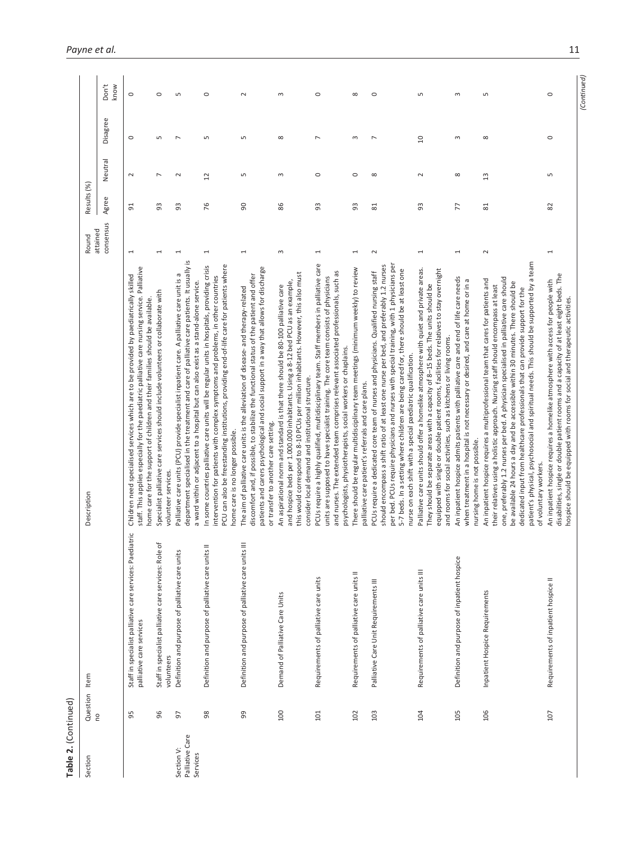| Table 2. (Continued)                      |                       |                                                                                          |                                                                                                                                                                                                                                                                                                                                                                                                                                                                                                                                                              |                   |             |                 |                |               |
|-------------------------------------------|-----------------------|------------------------------------------------------------------------------------------|--------------------------------------------------------------------------------------------------------------------------------------------------------------------------------------------------------------------------------------------------------------------------------------------------------------------------------------------------------------------------------------------------------------------------------------------------------------------------------------------------------------------------------------------------------------|-------------------|-------------|-----------------|----------------|---------------|
| Section                                   | Question<br><b>PO</b> | Item                                                                                     | Description                                                                                                                                                                                                                                                                                                                                                                                                                                                                                                                                                  | attained<br>Round | Results (%) |                 |                |               |
|                                           |                       |                                                                                          |                                                                                                                                                                                                                                                                                                                                                                                                                                                                                                                                                              | consensus         | Agree       | Neutral         | Disagree       | Don't<br>know |
|                                           | 95                    | diatric<br>Staff in specialist palliative care services: Pae<br>palliative care services | staff. This applies especially for the paediatric palliative care nursing service. Palliative<br>Children need specialised services which are to be provided by paediatrically skilled<br>home care for the support of children and their families should be available.                                                                                                                                                                                                                                                                                      | 1                 | 51          | $\sim$          | $\circ$        | $\circ$       |
|                                           | 96                    | đ<br>Staff in specialist palliative care services: Role<br>volunteers                    | Specialist palliative care services should include volunteers or collaborate with<br>volunteer services.                                                                                                                                                                                                                                                                                                                                                                                                                                                     | 1                 | 93          | ↖               | $\sqrt{2}$     | $\circ$       |
| Palliative Care<br>Section V:<br>Services | 57                    | Definition and purpose of palliative care units                                          | ≅.<br>department specialised in the treatment and care of palliative care patients. It usually<br>Б<br>Palliative care units (PCU) provide specialist inpatient care. A palliative care unit is<br>a ward within or adjacent to a hospital but can also exist as a stand-alone service.                                                                                                                                                                                                                                                                      | 1                 | 3           | $\sim$          | L              | Б             |
|                                           | 98                    | Definition and purpose of palliative care units II                                       | PCU can also be freestanding institutions, providing end-of-life care for patients where<br>In some countries palliative care units will be regular units in hospitals, providing crisis<br>intervention for patients with complex symptoms and problems, in other countries<br>home care is no longer possible.                                                                                                                                                                                                                                             | $\overline{ }$    | 76          | $\overline{12}$ | S              | $\circ$       |
|                                           | 99                    | Definition and purpose of palliative care units III                                      | patients and carers psychological and social support in a way that allows for discharge<br>discomfort and, if possible, to stabilize the functional status of the patient and offer<br>The aim of palliative care units is the alleviation of disease- and therapy-related<br>or transfer to another care setting.                                                                                                                                                                                                                                           | 1                 | 8           | Б               | S              | $\sim$        |
|                                           | 100                   | Demand of Palliative Care Units                                                          | this would correspond to 8-10 PCUs per million inhabitants. However, this also must<br>and hospice beds per 1.000.000 inhabitants. Using a 8-12 bed PCU as an example,<br>An aspirational norm and standard is that there should be 80-100 palliative care<br>consider local demand and institutional structure.                                                                                                                                                                                                                                             | $\infty$          | 86          | 3               | ${}^{\circ}$   | $\infty$      |
|                                           | 101                   | Requirements of palliative care units                                                    | PCUs require a highly qualified, multidisciplinary team. Staff members in palliative care<br>and nurses. The extended team comprises relevant associated professionals, such as<br>units are supposed to have specialist training. The core team consists of physicians<br>psychologists, physiotherapists, social workers or chaplains.                                                                                                                                                                                                                     | $\overline{ }$    | 93          | $\circ$         | $\overline{ }$ | $\circ$       |
|                                           | 102                   | Requirements of palliative care units II                                                 | There should be regular multidisciplinary team meetings (minimum weekly) to review<br>palliative care patient's referrals and care plans.                                                                                                                                                                                                                                                                                                                                                                                                                    | 1                 | 3           | $\circ$         | m              | $\infty$      |
|                                           | 103                   | Palliative Care Unit Requirements III                                                    | per bed. PCUs require physicians and nurses with special training, with 1 physicians per<br>should encompass a shift ratio of at least one nurse per bed, and preferably 1.2 nurses<br>5-7 beds. In a setting where children are being cared for, there should be at least one<br>PCUs require a dedicated core team of nurses and physicians. Qualified nursing staff<br>nurse on each shift with a special paediatric qualification.                                                                                                                       | $\sim$            | 81          | $\infty$        | $\overline{ }$ | $\circ$       |
|                                           | 104                   | Requirements of palliative care units III                                                | Palliative care units should offer a homelike atmosphere with quiet and private areas.<br>equipped with single or double patient rooms, facilities for relatives to stay overnight<br>They should be separate areas with a capacity of 8-15 beds. The units should be<br>and rooms for social activities, such as kitchens or living rooms.                                                                                                                                                                                                                  | $\overline{ }$    | 93          | $\sim$          | å              | Б             |
|                                           | 105                   | Definition and purpose of inpatient hospice                                              | An inpatient hospice admits patients with palliative care and end of life care needs<br>when treatment in a hospital is not necessary or desired, and care at home or in a<br>nursing home is not possible.                                                                                                                                                                                                                                                                                                                                                  | 1                 | 77          | ${}^{\circ}$    | 3              | $\sim$        |
|                                           | 106                   | Inpatient Hospice Requirements                                                           | patient's physical, psychosocial and spiritual needs. This should be supported by a team<br>one, preferably 1.2 nurses per bed. A physician specialised in palliative care should<br>An inpatient hospice requires a multiprofessional team that cares for patients and<br>be available 24 hours a day and be accessible within 30 minutes. There should be<br>their relatives using a holistic approach. Nursing staff should encompass at least<br>dedicated input from healthcare professionals that can provide support for the<br>of voluntary workers. | $\sim$            | 81          | 13              | ${}^{\circ}$   | S             |
|                                           | 107                   | Requirements of inpatient hospice II                                                     | disabilities, single or double patient rooms and a capacity of at least eight beds. The<br>An inpatient hospice requires a homelike atmosphere with access for people with<br>hospice should be equipped with rooms for social and therapeutic activities.                                                                                                                                                                                                                                                                                                   | 1                 | 82          | Б               | $\circ$        | $\circ$       |

*(Continued)*

(Continued)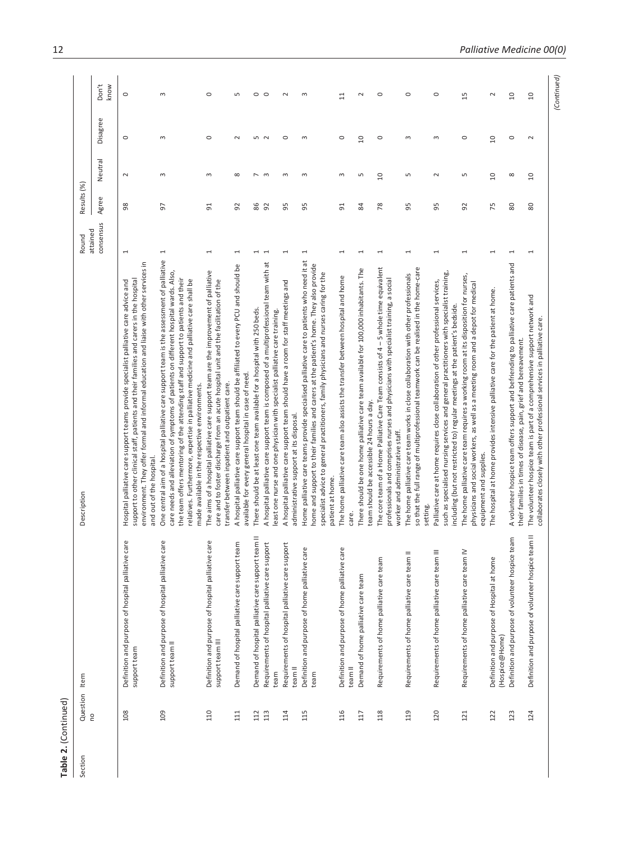| ֚֚֚֚֚֚֚֚֚֚֚֚֚֚֚֡֝ |
|-------------------|
| t                 |
|                   |

| Section | Question<br><b>PO</b> | Item                                                                   | Description                                                                                                                                                                                                                                                                                                                                                                                                         | attained<br>Round        | Results (%) |                 |                |               |
|---------|-----------------------|------------------------------------------------------------------------|---------------------------------------------------------------------------------------------------------------------------------------------------------------------------------------------------------------------------------------------------------------------------------------------------------------------------------------------------------------------------------------------------------------------|--------------------------|-------------|-----------------|----------------|---------------|
|         |                       |                                                                        |                                                                                                                                                                                                                                                                                                                                                                                                                     | consensus                | Agree       | Neutral         | Disagree       | Don't<br>know |
|         | 108                   | Definition and purpose of hospital palliative care<br>support team     | environment. They offer formal and informal education and liaise with other services in<br>support to other clinical staff, patients and their families and carers in the hospital<br>Hospital palliative care support teams provide specialist palliative care advice and<br>and out of the hospital                                                                                                               | $\overline{ }$           | 8           | $\sim$          | $\circ$        | $\circ$       |
|         | 109                   | Definition and purpose of hospital palliative care<br>support team II  | One central aim of a hospital palliative care support team is the assessment of palliative<br>care needs and alleviation of symptoms of patients on different hospital wards. Also<br>the team offers mentoring of the attending staff and support to patients and their<br>relatives. Furthermore, expertise in palliative medicine and palliative care shall be<br>made available in the respective environments. | 1                        | 5           | S               | 3              | $\infty$      |
|         | 110                   | Definition and purpose of hospital palliative care<br>support team III | The aims of a hospital palliative care support team are the improvement of palliative<br>care and to foster discharge from an acute hospital unit and the facilitation of the<br>transfer between inpatient and outpatient care.                                                                                                                                                                                    | 1                        | 51          | S               | $\circ$        | $\circ$       |
|         | 111                   | Demand of hospital palliative care support team                        | A hospital palliative care support team should be affiliated to every PCU and should be<br>available for every general hospital in case of need.                                                                                                                                                                                                                                                                    | 1                        | 92          | ${}^{\circ}$    | $\sim$         | $\sqrt{2}$    |
|         | 112                   | Demand of hospital palliative care support team II                     | There should be at least one team available for a hospital with 250 beds.                                                                                                                                                                                                                                                                                                                                           | $\mathbf{\mathbf{d}}$    | 86          | $\overline{ }$  | 5              | $\circ$       |
|         | 113                   | Requirements of hospital palliative care support<br>team               | A hospital palliative care support team is composed of a multiprofessional team with at<br>east one nurse and one physician with specialist palliative care training                                                                                                                                                                                                                                                | $\overline{ }$           | 92          | $\mathsf{S}$    | $\sim$         | $\circ$       |
|         | 114                   | Requirements of hospital palliative care support<br>team II            | A hospital palliative care support team should have a room for staff meetings and<br>administrative support at its disposal.                                                                                                                                                                                                                                                                                        | 1                        | 59          | 3               | 0              | $\sim$        |
|         | 115                   | Definition and purpose of home palliative care<br>team                 | Home palliative care teams provide specialised palliative care to patients who need it at<br>home and support to their families and carers at the patient's home. They also provide<br>specialist advice to general practitioners, family physicians and nurses caring for the<br>patient at home.                                                                                                                  | 1                        | 56          | 3               | 3              | 3             |
|         | 116                   | Definition and purpose of home palliative care<br>team II              | The home palliative care team also assists the transfer between hospital and home<br>care.                                                                                                                                                                                                                                                                                                                          | 1                        | 51          | 3               | $\circ$        | $\Xi$         |
|         | 117                   | Demand of home palliative care team                                    | There should be one home palliative care team available for 100,000 inhabitants. The<br>team should be accessible 24 hours a day.                                                                                                                                                                                                                                                                                   | 1                        | 84          | S               | $\overline{a}$ | $\sim$        |
|         | 118                   | Requirements of home palliative care team                              | The core team of a Home Palliative Care Team consists of $4$ – 5 whole time equivalent<br>professionals and comprises nurses and physicians with specialist training, a social<br>worker and administrative staff.                                                                                                                                                                                                  | $\overline{\phantom{0}}$ | 78          | $\overline{a}$  | $\circ$        | $\circ$       |
|         | 119                   | Requirements of home palliative care team II                           | so that the full range of multiprofessional teamwork can be realised in the home-care<br>The home palliative care team works in close collaboration with other professionals<br>setting.                                                                                                                                                                                                                            | $\mathbf -$              | 56          | S               | 3              | $\circ$       |
|         | 120                   | Requirements of home palliative care team III                          | such as specialised nursing services and general practitioners with specialist training,<br>Palliative care at home requires close collaboration of other professional services,<br>including (but not restricted to) regular meetings at the patient's bedside                                                                                                                                                     | $\overline{ }$           | 95          | $\sim$          | $\sim$         | $\circ$       |
|         | 121                   | Requirements of home palliative care team IV                           | The home palliative care team requires a working room at its disposition for nurses,<br>physicians and social workers, as well as a meeting room and a depot for medical<br>equipment and supplies.                                                                                                                                                                                                                 | $\overline{ }$           | 92          | S               | $\circ$        | 15            |
|         | 122                   | Definition and purpose of Hospital at home<br>(Hospice@Home)           | The hospital at home provides intensive palliative care for the patient at home.                                                                                                                                                                                                                                                                                                                                    | $\overline{ }$           | 54          | $\Omega$        | S              | $\sim$        |
|         | 123                   | Definition and purpose of volunteer hospice team                       | A volunteer hospice team offers support and befriending to palliative care patients and<br>their families in times of disease, pain, grief and bereavement.                                                                                                                                                                                                                                                         | 1                        | 80          | $\infty$        | $\circ$        | $\Omega$      |
|         | 124                   | Definition and purpose of volunteer hospice team II                    | The volunteer hospice team is part of a comprehensive support network and<br>collaborates closely with other professional services in palliative care                                                                                                                                                                                                                                                               |                          | 80          | $\overline{10}$ | $\sim$         | $\Xi$         |
|         |                       |                                                                        |                                                                                                                                                                                                                                                                                                                                                                                                                     |                          |             |                 |                | Continued)    |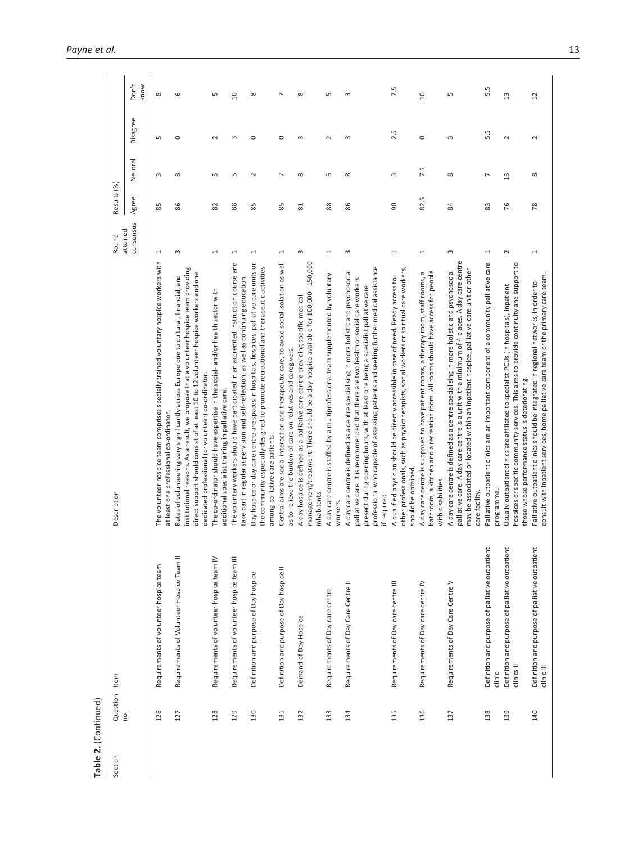| Section | Question   | Item                                                          | Description                                                                                                                                                                                                                                                                                                                                                                   | Round                 | Results (%) |                          |            |                |
|---------|------------|---------------------------------------------------------------|-------------------------------------------------------------------------------------------------------------------------------------------------------------------------------------------------------------------------------------------------------------------------------------------------------------------------------------------------------------------------------|-----------------------|-------------|--------------------------|------------|----------------|
|         | $\epsilon$ |                                                               |                                                                                                                                                                                                                                                                                                                                                                               | consensus<br>attained | Agree       | Neutral                  | Disagree   | Don't<br>know  |
|         | 126        | Requirements of volunteer hospice team                        | The volunteer hospice team comprises specially trained voluntary hospice workers with<br>at least one professional co-ordinator                                                                                                                                                                                                                                               | 1                     | 89          | $\infty$                 | $\sqrt{2}$ | ${}^{\circ}$   |
|         | 127        | Requirements of Volunteer Hospice Team II                     | nstitutional reasons. As a result, we propose that a volunteer hospice team providing<br>direct support should consist of at least 10 to 12 volunteer hospice workers and one<br>Rates of volunteering vary significantly across Europe due to cultural, financial, and<br>dedicated professional (or volunteer) co-ordinator.                                                | S                     | 86          | $\infty$                 | $\circ$    | 6              |
|         | 128        | Requirements of volunteer hospice team IV                     | The co-ordinator should have expertise in the social- and/or health sector with<br>additional specialist training in palliative care.                                                                                                                                                                                                                                         | 1                     | 82          | 5                        | 2          | Б              |
|         | 129        | Requirements of volunteer hospice team III                    | The voluntary workers should have participated in an accredited instruction course and<br>take part in regular supervision and self-reflection, as well as continuing education.                                                                                                                                                                                              | 1                     | 88          | S                        | $\infty$   | $\Omega$       |
|         | 130        | Definition and purpose of Day hospice                         | ŏ<br>the community especially designed to promote recreational and therapeutic activities<br>Day hospice or day care centre are spaces in hospitals, hospices, palliative care units<br>among palliative care patients.                                                                                                                                                       | 1                     | 85          | $\sim$                   | $\circ$    | ${}^{\circ}$   |
|         | 131        | Definition and purpose of Day hospice II                      | Central aims are social interaction and therapeutic care, to avoid social isolation as well<br>as to relieve the burden of care on relatives and caregivers.                                                                                                                                                                                                                  | $\overline{ }$        | 85          | $\overline{\phantom{0}}$ | $\circ$    | $\overline{ }$ |
|         | 132        | Demand of Day Hospice                                         | management/treatment. There should be a day hospice available for 100,000 - 150,000<br>A day hospice is defined as a palliative care centre providing specific medical<br>inhabitants.                                                                                                                                                                                        | S                     | 81          | $\infty$                 | S          | ${}^{\circ}$   |
|         | 133        | Requirements of Day care centre                               | A day care centre is staffed by a multiprofessional team supplemented by voluntary<br>workers                                                                                                                                                                                                                                                                                 | $\overline{ }$        | 88          | S                        | $\sim$     | S              |
|         | 134        | Requirements of Day Care Centre II                            | professional who capable of assessing patients and seeking further medical assistance<br>A day care centre is defined as a centre specialising in more holistic and psychosocial<br>palliative care. It is recommended that there are two health or social care workers<br>present during opening hours, with at least one being a specialist palliative care<br>if required. | 3                     | 86          | $\infty$                 | $\infty$   | 3              |
|         | 135        | Requirements of Day care centre III                           | other professionals, such as physiotherapists, social workers or spiritual care workers,<br>A qualified physician should be directly accessible in case of need. Ready access to<br>should be obtained.                                                                                                                                                                       | 1                     | 8           | $\infty$                 | 2.5        | 7.5            |
|         | 136        | Requirements of Day care centre IV                            | bathroom, a kitchen and a recreation room. All rooms should have access for people<br>A day care centre is supposed to have patient rooms, a therapy room, staff rooms, a<br>with disabilities.                                                                                                                                                                               | 1                     | 82.5        | 7.5                      | $\circ$    | $\Omega$       |
|         | 137        | Requirements of Day Care Centre V                             | palliative care. A day care centre is a unit with a minimum of 4 places. A day care centre<br>may be associated or located within an inpatient hospice, palliative care unit or other<br>A day care centre is defined as a centre specialising in more holistic and psychosocial<br>care facility.                                                                            | S                     | 84          | ${}^{\circ}$             | S          | S              |
|         | 138        | Definition and purpose of palliative outpatient<br>clinic     | Palliative outpatient clinics are an important component of a community palliative care<br>programme.                                                                                                                                                                                                                                                                         | 1                     | 83          | $\overline{ }$           | 5.5        | 5.5            |
|         | 139        | Definition and purpose of palliative outpatient<br>clinics II | hospices or specific community services. This aims to provide continuity and support to<br>Usually outpatient clinics are affiliated to specialist PCUs (in hospitals), inpatient<br>those whose performance status is deteriorating.                                                                                                                                         | $\sim$                | 76          | 13                       | $\sim$     | $\mathfrak{u}$ |
|         | 140        | Definition and purpose of palliative outpatient<br>clinic III | consult with inpatient services, home palliative care team or the primary care team.<br>Palliative outpatient clinics should be integrated in regional networks, in order to                                                                                                                                                                                                  | 1                     | 78          | $\infty$                 | $\sim$     | 2              |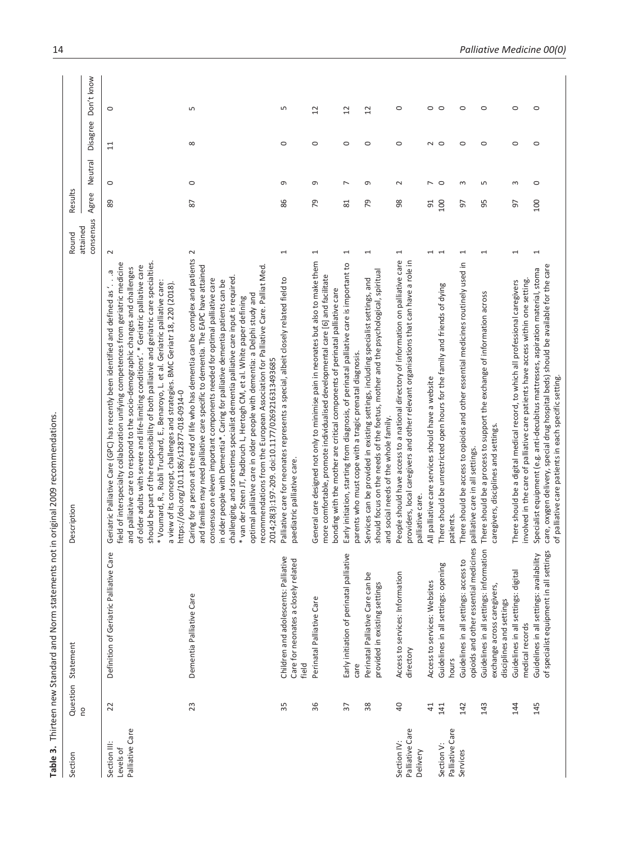| i - Alian - Annun - Alian - Annun                                                                                                                                                                                                                                                      |
|----------------------------------------------------------------------------------------------------------------------------------------------------------------------------------------------------------------------------------------------------------------------------------------|
|                                                                                                                                                                                                                                                                                        |
| e not in origi                                                                                                                                                                                                                                                                         |
|                                                                                                                                                                                                                                                                                        |
|                                                                                                                                                                                                                                                                                        |
|                                                                                                                                                                                                                                                                                        |
|                                                                                                                                                                                                                                                                                        |
|                                                                                                                                                                                                                                                                                        |
|                                                                                                                                                                                                                                                                                        |
| <b>Production of the Sun of the Sun of the Sun of the Sun of the Sun of the Sun of the Sun of the Sun of the Sun of the Sun of the Sun of the Sun of the Sun of the Sun of the Sun of the Sun of the Sun of the Sun of the Sun o</b><br>e Thirthon now Cranbor has and Morm statement. |
|                                                                                                                                                                                                                                                                                        |
|                                                                                                                                                                                                                                                                                        |
|                                                                                                                                                                                                                                                                                        |
|                                                                                                                                                                                                                                                                                        |
|                                                                                                                                                                                                                                                                                        |
|                                                                                                                                                                                                                                                                                        |
|                                                                                                                                                                                                                                                                                        |
|                                                                                                                                                                                                                                                                                        |
|                                                                                                                                                                                                                                                                                        |
|                                                                                                                                                                                                                                                                                        |
|                                                                                                                                                                                                                                                                                        |
| wan コニソリー                                                                                                                                                                                                                                                                              |
|                                                                                                                                                                                                                                                                                        |
|                                                                                                                                                                                                                                                                                        |
|                                                                                                                                                                                                                                                                                        |
| able 3. Thii                                                                                                                                                                                                                                                                           |
|                                                                                                                                                                                                                                                                                        |
|                                                                                                                                                                                                                                                                                        |
|                                                                                                                                                                                                                                                                                        |
|                                                                                                                                                                                                                                                                                        |

|                                              |                 | Table 3. Thirteen new Standard and Norm statements not                                             | in original 2009 recommendations                                                                                                                                                                                                                                                                                                                                                                                                                                                                                                                                                                                                                                                                                              |                                 |                |                |                |
|----------------------------------------------|-----------------|----------------------------------------------------------------------------------------------------|-------------------------------------------------------------------------------------------------------------------------------------------------------------------------------------------------------------------------------------------------------------------------------------------------------------------------------------------------------------------------------------------------------------------------------------------------------------------------------------------------------------------------------------------------------------------------------------------------------------------------------------------------------------------------------------------------------------------------------|---------------------------------|----------------|----------------|----------------|
| Section                                      | Question        | Statement                                                                                          | Description                                                                                                                                                                                                                                                                                                                                                                                                                                                                                                                                                                                                                                                                                                                   | Results<br>Round                |                |                |                |
|                                              | <b>DU</b>       |                                                                                                    |                                                                                                                                                                                                                                                                                                                                                                                                                                                                                                                                                                                                                                                                                                                               | Agree<br>consensus<br>attained  | Neutral        | Disagree       | Don't know     |
| Palliative Care<br>Section III:<br>Levels of | 22              | Definition of Geriatric Palliative Care                                                            | should be part of the responsibility of both palliative and geriatric care specialties.<br>field of interspecialty collaboration unifying competences from geriatric medicine<br>of older adults with severe and life-limiting conditions'. * Geriatric palliative care<br>and palliative care to respond to the socio-demographic changes and challenges<br>Ģ<br>* Voumard, R., Rubli Truchard, E., Benaroyo, L. et al. Geriatric palliative care:<br>a view of its concept, challenges and strategies. BMC Geriatr 18, 220 (2018).<br>Geriatric Palliative Care (GPC) has recently been identified and defined as '.<br>https://doi.org/10.1186/s12877-018-0914-0                                                           | 89<br>$\sim$                    | $\circ$        | $\Xi$          | $\circ$        |
|                                              | 23              | Dementia Palliative Care                                                                           | Caring for a person at the end of life who has dementia can be complex and patients<br>and families may need palliative care specific to dementia. The EAPC have attained<br>recommendations from the European Association for Palliative Care. Palliat Med.<br>challenging, and sometimes specialist dementia palliative care input is required<br>consensus on eleven important components needed for optimal palliative care<br>in older people with Dementia*. Caring for palliative dementia patients can be<br>optimal palliative care in older people with dementia: a Delphi study and<br>* van der Steen JT, Radbruch L, Hertogh CM, et al. White paper defining<br>2014;28(3):197-209. doi:10.1177/0269216313493685 | 28<br>$\sim$                    | $\circ$        | $\infty$       | S              |
|                                              | 35              | Children and adolescents: Palliative<br>Care for neonates a closely related<br>field               | Palliative care for neonates represents a special, albeit closely related field to<br>paediatric palliative care.                                                                                                                                                                                                                                                                                                                                                                                                                                                                                                                                                                                                             | 86<br>$\overline{\phantom{0}}$  | $\sigma$       | $\circ$        | S              |
|                                              | 36              | Perinatal Palliative Care                                                                          | General care designed not only to minimise pain in neonates but also to make them<br>more comfortable, promote individualised developmental care [6] and facilitate<br>bonding with the mother are critical components of perinatal palliative care                                                                                                                                                                                                                                                                                                                                                                                                                                                                           | 79<br>$\overline{\phantom{0}}$  | G              | $\circ$        | 12             |
|                                              | $\overline{37}$ | Early initiation of perinatal palliative<br>care                                                   | Early initiation, starting from diagnosis, of perinatal palliative care is important to<br>parents who must cope with a tragic prenatal diagnosis.                                                                                                                                                                                                                                                                                                                                                                                                                                                                                                                                                                            | $\approx$<br>J                  | $\overline{ }$ | $\circ$        | $\overline{c}$ |
|                                              | $38$            | Perinatal Palliative Care can be<br>provided in existing settings                                  | should focus on the needs of the foetus, mother and the psychological, spiritual<br>Services can be provided in existing settings, including specialist settings, and<br>and social needs of the whole family.                                                                                                                                                                                                                                                                                                                                                                                                                                                                                                                | 54<br>$\overline{\phantom{0}}$  | G              | $\circ$        | $\overline{c}$ |
| Palliative Care<br>Section IV:<br>Delivery   | $\overline{4}0$ | Access to services: Information<br>directory                                                       | People should have access to a national directory of information on palliative care<br>providers, local caregivers and other relevant organisations that can have a role in<br>palliative care.                                                                                                                                                                                                                                                                                                                                                                                                                                                                                                                               | 98<br>$\overline{ }$            | $\sim$         | $\circ$        | $\circ$        |
|                                              | 41              | Access to services: Websites                                                                       | All palliative care services should have a website                                                                                                                                                                                                                                                                                                                                                                                                                                                                                                                                                                                                                                                                            | 51                              | $\sim$ 0       | $\sim$ $\circ$ | $\circ$        |
| Palliative Care<br>Section V:                | 141             | Guidelines in all settings: opening<br>hours                                                       | There should be unrestricted open hours for the family and friends of dying<br>patients                                                                                                                                                                                                                                                                                                                                                                                                                                                                                                                                                                                                                                       | 100<br>$\overline{ }$           |                |                | $\circ$        |
| Services                                     | 142             | opioids and other essential medicines<br>Guidelines in all settings: access to                     | There should be access to opioids and other essential medicines routinely used in<br>palliative care in all settings                                                                                                                                                                                                                                                                                                                                                                                                                                                                                                                                                                                                          | 57<br>$\overline{\phantom{0}}$  | $\sim$         | $\circ$        | $\circ$        |
|                                              | 143             | Guidelines in all settings: information<br>exchange across caregivers,<br>disciplines and settings | There should be a process to support the exchange of information across<br>caregivers, disciplines and settings.                                                                                                                                                                                                                                                                                                                                                                                                                                                                                                                                                                                                              | 56<br>$\overline{\phantom{0}}$  | S              | $\circ$        | $\circ$        |
|                                              | 144             | Guidelines in all settings: digital<br>medical records                                             | involved in the care of palliative care patients have access within one setting.<br>There should be a digital medical record, to which all professional caregivers                                                                                                                                                                                                                                                                                                                                                                                                                                                                                                                                                            | 57<br>$\overline{\phantom{0}}$  | 3              | $\circ$        | $\circ$        |
|                                              | 145             | of specialist equipment in all settings<br>Guidelines in all settings: availability                | care, oxygen delivery, special drug hospital beds) should be available for the care<br>Specialist equipment (e.g. anti-decubitus mattresses, aspiration material, stoma<br>of palliative care patients in each specific setting.                                                                                                                                                                                                                                                                                                                                                                                                                                                                                              | 100<br>$\overline{\phantom{0}}$ | $\circ$        | $\circ$        | $\circ$        |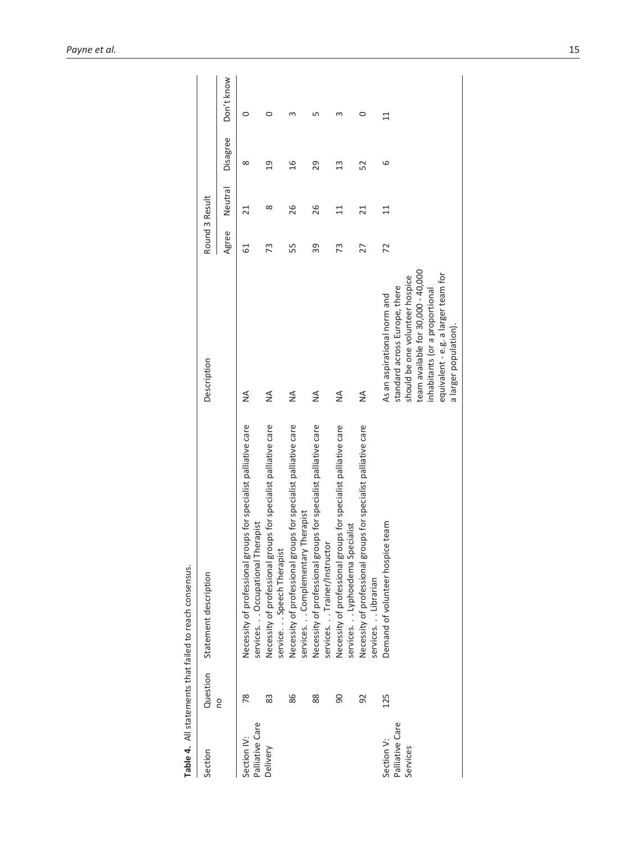|                                           |          | Table 4. All statements that failed to reach consensus.                                              |                                                                                                                                                                                                                                         |                |                 |                |                 |
|-------------------------------------------|----------|------------------------------------------------------------------------------------------------------|-----------------------------------------------------------------------------------------------------------------------------------------------------------------------------------------------------------------------------------------|----------------|-----------------|----------------|-----------------|
| Section                                   | Question | Statement description                                                                                | Description                                                                                                                                                                                                                             | Round 3 Result |                 |                |                 |
|                                           | g        |                                                                                                      |                                                                                                                                                                                                                                         | Agree          | Neutral         | Disagree       | Don't know      |
| Palliative Care<br>Section IV:            | 78       | Necessity of professional groups for specialist palliative care<br>services. Occupational Therapist  | $\frac{4}{2}$                                                                                                                                                                                                                           | 5              | $\overline{21}$ | $\infty$       | 0               |
| Delivery                                  | 83       | Necessity of professional groups for specialist palliative care<br>service. Speech Therapist         | ≸                                                                                                                                                                                                                                       | 73             | ∞               | $\overline{0}$ | 0               |
|                                           | 86       | Necessity of professional groups for specialist palliative care<br>services. Complementary Therapist | $\frac{4}{2}$                                                                                                                                                                                                                           | 55             | 26              | 16             |                 |
|                                           | 88       | Necessity of professional groups for specialist palliative care<br>services. Trainer/Instructor      | $\frac{1}{2}$                                                                                                                                                                                                                           | 39             | 26              | 29             |                 |
|                                           | 90       | Necessity of professional groups for specialist palliative care<br>services. Lyphoedema Specialist   | $\frac{4}{2}$                                                                                                                                                                                                                           | 73             | $\overline{11}$ | $\mathfrak{u}$ |                 |
|                                           | 92       | Necessity of professional groups for specialist palliative care<br>servicesLibrarian                 | $\frac{4}{2}$                                                                                                                                                                                                                           | 27             | $\overline{21}$ | 52             | 0               |
| Palliative Care<br>Section V:<br>Services | 125      | Demand of volunteer hospice team                                                                     | team available for 30,000 - 40,000<br>equivalent - e.g. a larger team for<br>should be one volunteer hospice<br>standard across Europe, there<br>inhabitants (or a proportional<br>As an aspirational norm and<br>a larger population). | 72             | $\Xi$           | 6              | $\overline{11}$ |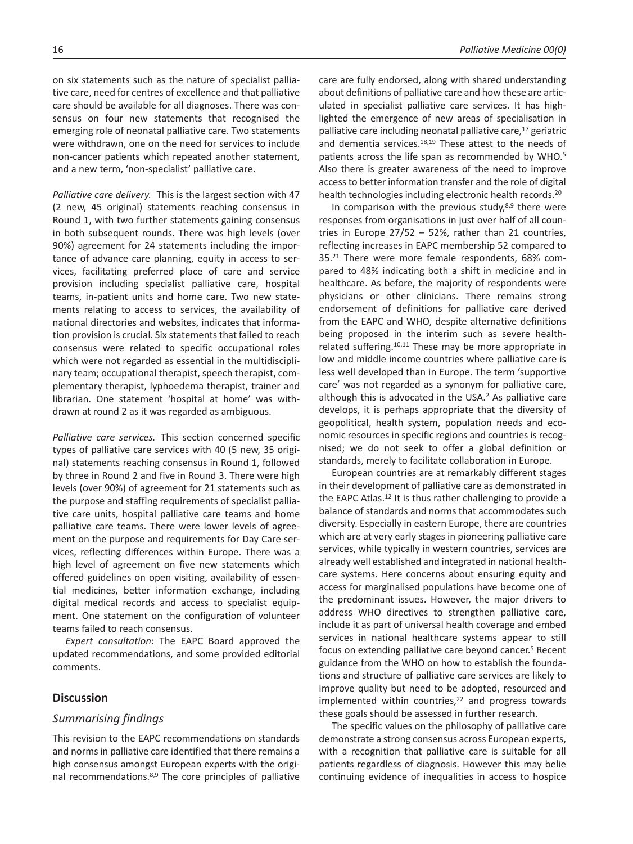on six statements such as the nature of specialist palliative care, need for centres of excellence and that palliative care should be available for all diagnoses. There was consensus on four new statements that recognised the emerging role of neonatal palliative care. Two statements were withdrawn, one on the need for services to include non-cancer patients which repeated another statement, and a new term, 'non-specialist' palliative care.

*Palliative care delivery.* This is the largest section with 47 (2 new, 45 original) statements reaching consensus in Round 1, with two further statements gaining consensus in both subsequent rounds. There was high levels (over 90%) agreement for 24 statements including the importance of advance care planning, equity in access to services, facilitating preferred place of care and service provision including specialist palliative care, hospital teams, in-patient units and home care. Two new statements relating to access to services, the availability of national directories and websites, indicates that information provision is crucial. Six statements that failed to reach consensus were related to specific occupational roles which were not regarded as essential in the multidisciplinary team; occupational therapist, speech therapist, complementary therapist, lyphoedema therapist, trainer and librarian. One statement 'hospital at home' was withdrawn at round 2 as it was regarded as ambiguous.

*Palliative care services.* This section concerned specific types of palliative care services with 40 (5 new, 35 original) statements reaching consensus in Round 1, followed by three in Round 2 and five in Round 3. There were high levels (over 90%) of agreement for 21 statements such as the purpose and staffing requirements of specialist palliative care units, hospital palliative care teams and home palliative care teams. There were lower levels of agreement on the purpose and requirements for Day Care services, reflecting differences within Europe. There was a high level of agreement on five new statements which offered guidelines on open visiting, availability of essential medicines, better information exchange, including digital medical records and access to specialist equipment. One statement on the configuration of volunteer teams failed to reach consensus.

*Expert consultation*: The EAPC Board approved the updated recommendations, and some provided editorial comments.

## **Discussion**

### *Summarising findings*

This revision to the EAPC recommendations on standards and norms in palliative care identified that there remains a high consensus amongst European experts with the original recommendations.8,9 The core principles of palliative care are fully endorsed, along with shared understanding about definitions of palliative care and how these are articulated in specialist palliative care services. It has highlighted the emergence of new areas of specialisation in palliative care including neonatal palliative care,<sup>17</sup> geriatric and dementia services.18,19 These attest to the needs of patients across the life span as recommended by WHO.<sup>5</sup> Also there is greater awareness of the need to improve access to better information transfer and the role of digital health technologies including electronic health records.20

In comparison with the previous study, $8.9$  there were responses from organisations in just over half of all countries in Europe 27/52 – 52%, rather than 21 countries, reflecting increases in EAPC membership 52 compared to 35.21 There were more female respondents, 68% compared to 48% indicating both a shift in medicine and in healthcare. As before, the majority of respondents were physicians or other clinicians. There remains strong endorsement of definitions for palliative care derived from the EAPC and WHO, despite alternative definitions being proposed in the interim such as severe healthrelated suffering.10,11 These may be more appropriate in low and middle income countries where palliative care is less well developed than in Europe. The term 'supportive care' was not regarded as a synonym for palliative care, although this is advocated in the USA.<sup>2</sup> As palliative care develops, it is perhaps appropriate that the diversity of geopolitical, health system, population needs and economic resources in specific regions and countries is recognised; we do not seek to offer a global definition or standards, merely to facilitate collaboration in Europe.

European countries are at remarkably different stages in their development of palliative care as demonstrated in the EAPC Atlas.12 It is thus rather challenging to provide a balance of standards and norms that accommodates such diversity. Especially in eastern Europe, there are countries which are at very early stages in pioneering palliative care services, while typically in western countries, services are already well established and integrated in national healthcare systems. Here concerns about ensuring equity and access for marginalised populations have become one of the predominant issues. However, the major drivers to address WHO directives to strengthen palliative care, include it as part of universal health coverage and embed services in national healthcare systems appear to still focus on extending palliative care beyond cancer.5 Recent guidance from the WHO on how to establish the foundations and structure of palliative care services are likely to improve quality but need to be adopted, resourced and implemented within countries, $22$  and progress towards these goals should be assessed in further research.

The specific values on the philosophy of palliative care demonstrate a strong consensus across European experts, with a recognition that palliative care is suitable for all patients regardless of diagnosis. However this may belie continuing evidence of inequalities in access to hospice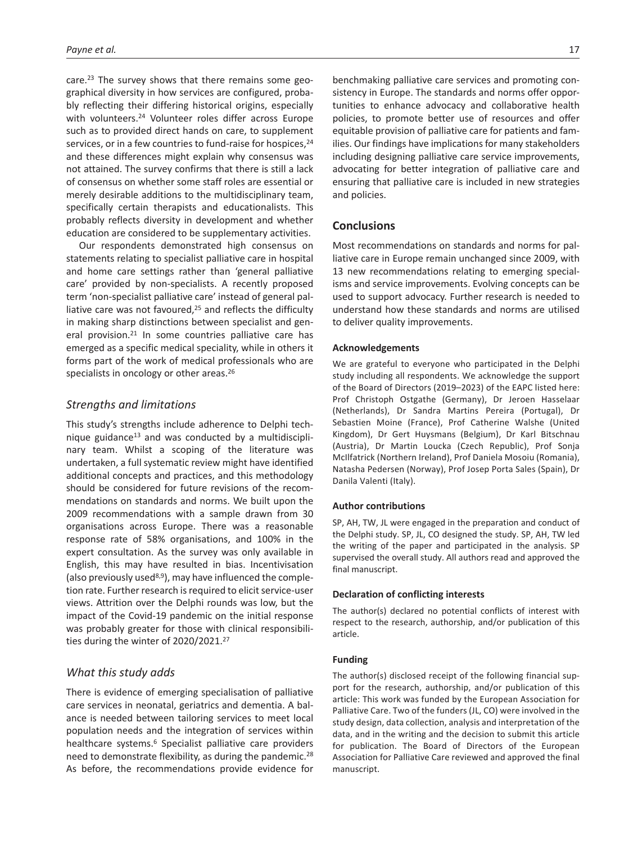care.23 The survey shows that there remains some geographical diversity in how services are configured, probably reflecting their differing historical origins, especially with volunteers.24 Volunteer roles differ across Europe such as to provided direct hands on care, to supplement services, or in a few countries to fund-raise for hospices, 24 and these differences might explain why consensus was not attained. The survey confirms that there is still a lack of consensus on whether some staff roles are essential or merely desirable additions to the multidisciplinary team, specifically certain therapists and educationalists. This probably reflects diversity in development and whether education are considered to be supplementary activities.

Our respondents demonstrated high consensus on statements relating to specialist palliative care in hospital and home care settings rather than 'general palliative care' provided by non-specialists. A recently proposed term 'non-specialist palliative care' instead of general palliative care was not favoured,25 and reflects the difficulty in making sharp distinctions between specialist and general provision.<sup>21</sup> In some countries palliative care has emerged as a specific medical speciality, while in others it forms part of the work of medical professionals who are specialists in oncology or other areas.<sup>26</sup>

## *Strengths and limitations*

This study's strengths include adherence to Delphi technique guidance<sup>13</sup> and was conducted by a multidisciplinary team. Whilst a scoping of the literature was undertaken, a full systematic review might have identified additional concepts and practices, and this methodology should be considered for future revisions of the recommendations on standards and norms. We built upon the 2009 recommendations with a sample drawn from 30 organisations across Europe. There was a reasonable response rate of 58% organisations, and 100% in the expert consultation. As the survey was only available in English, this may have resulted in bias. Incentivisation (also previously used8,9), may have influenced the completion rate. Further research is required to elicit service-user views. Attrition over the Delphi rounds was low, but the impact of the Covid-19 pandemic on the initial response was probably greater for those with clinical responsibilities during the winter of 2020/2021.27

## *What this study adds*

There is evidence of emerging specialisation of palliative care services in neonatal, geriatrics and dementia. A balance is needed between tailoring services to meet local population needs and the integration of services within healthcare systems.6 Specialist palliative care providers need to demonstrate flexibility, as during the pandemic.28 As before, the recommendations provide evidence for benchmaking palliative care services and promoting consistency in Europe. The standards and norms offer opportunities to enhance advocacy and collaborative health policies, to promote better use of resources and offer equitable provision of palliative care for patients and families. Our findings have implications for many stakeholders including designing palliative care service improvements, advocating for better integration of palliative care and ensuring that palliative care is included in new strategies and policies.

## **Conclusions**

Most recommendations on standards and norms for palliative care in Europe remain unchanged since 2009, with 13 new recommendations relating to emerging specialisms and service improvements. Evolving concepts can be used to support advocacy. Further research is needed to understand how these standards and norms are utilised to deliver quality improvements.

### **Acknowledgements**

We are grateful to everyone who participated in the Delphi study including all respondents. We acknowledge the support of the Board of Directors (2019–2023) of the EAPC listed here: Prof Christoph Ostgathe (Germany), Dr Jeroen Hasselaar (Netherlands), Dr Sandra Martins Pereira (Portugal), Dr Sebastien Moine (France), Prof Catherine Walshe (United Kingdom), Dr Gert Huysmans (Belgium), Dr Karl Bitschnau (Austria), Dr Martin Loucka (Czech Republic), Prof Sonja McIlfatrick (Northern Ireland), Prof Daniela Mosoiu (Romania), Natasha Pedersen (Norway), Prof Josep Porta Sales (Spain), Dr Danila Valenti (Italy).

### **Author contributions**

SP, AH, TW, JL were engaged in the preparation and conduct of the Delphi study. SP, JL, CO designed the study. SP, AH, TW led the writing of the paper and participated in the analysis. SP supervised the overall study. All authors read and approved the final manuscript.

### **Declaration of conflicting interests**

The author(s) declared no potential conflicts of interest with respect to the research, authorship, and/or publication of this article.

### **Funding**

The author(s) disclosed receipt of the following financial support for the research, authorship, and/or publication of this article: This work was funded by the European Association for Palliative Care. Two of the funders (JL, CO) were involved in the study design, data collection, analysis and interpretation of the data, and in the writing and the decision to submit this article for publication. The Board of Directors of the European Association for Palliative Care reviewed and approved the final manuscript.